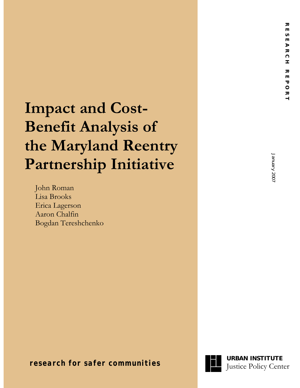# **Impact and Cost-Benefit Analysis of the Maryland Reentry Partnership Initiative**

John Roman Lisa Brooks Erica Lagerson Aaron Chalfin Bogdan Tereshchenko

January 2007 January 2007

**The** *research for safer communities* **Justice Policy Center** 

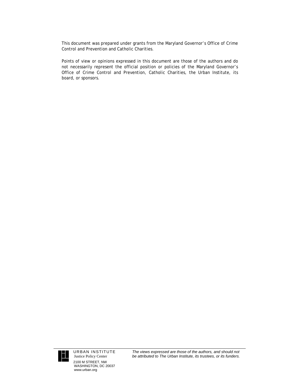This document was prepared under grants from the Maryland Governor's Office of Crime Control and Prevention and Catholic Charities.

Points of view or opinions expressed in this document are those of the authors and do not necessarily represent the official position or policies of the Maryland Governor's Office of Crime Control and Prevention, Catholic Charities, the Urban Institute, its board, or sponsors.



URBAN INSTITUTE Justice Policy Center 2100 M STREET, NW WASHINGTON, DC 20037 www.urban.org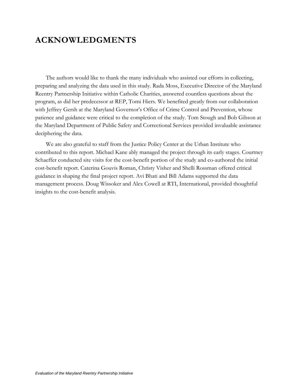# <span id="page-2-0"></span>**ACKNOWLEDGMENTS**

The authors would like to thank the many individuals who assisted our efforts in collecting, preparing and analyzing the data used in this study. Rada Moss, Executive Director of the Maryland Reentry Partnership Initiative within Catholic Charities, answered countless questions about the program, as did her predecessor at REP, Tomi Hiers. We benefited greatly from our collaboration with Jeffrey Gersh at the Maryland Governor's Office of Crime Control and Prevention, whose patience and guidance were critical to the completion of the study. Tom Stough and Bob Gibson at the Maryland Department of Public Safety and Correctional Services provided invaluable assistance deciphering the data.

We are also grateful to staff from the Justice Policy Center at the Urban Institute who contributed to this report. Michael Kane ably managed the project through its early stages. Courtney Schaeffer conducted site visits for the cost-benefit portion of the study and co-authored the initial cost-benefit report. Caterina Gouvis Roman, Christy Visher and Shelli Rossman offered critical guidance in shaping the final project report. Avi Bhati and Bill Adams supported the data management process. Doug Wissoker and Alex Cowell at RTI, International, provided thoughtful insights to the cost-benefit analysis.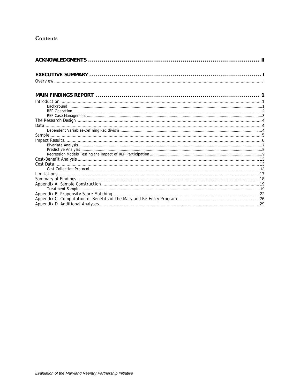# Contents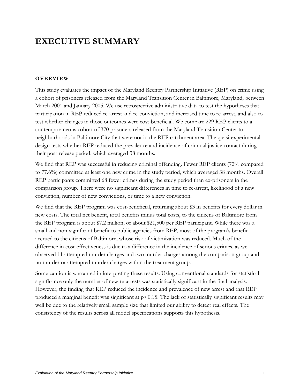# <span id="page-4-0"></span>**EXECUTIVE SUMMARY**

# **OVERVIEW**

This study evaluates the impact of the Maryland Reentry Partnership Initiative (REP) on crime using a cohort of prisoners released from the Maryland Transition Center in Baltimore, Maryland, between March 2001 and January 2005. We use retrospective administrative data to test the hypotheses that participation in REP reduced re-arrest and re-conviction, and increased time to re-arrest, and also to test whether changes in those outcomes were cost-beneficial. We compare 229 REP clients to a contemporaneous cohort of 370 prisoners released from the Maryland Transition Center to neighborhoods in Baltimore City that were not in the REP catchment area. The quasi-experimental design tests whether REP reduced the prevalence and incidence of criminal justice contact during their post-release period, which averaged 38 months.

We find that REP was successful in reducing criminal offending. Fewer REP clients (72% compared to 77.6%) committed at least one new crime in the study period, which averaged 38 months. Overall REP participants committed 68 fewer crimes during the study period than ex-prisoners in the comparison group. There were no significant differences in time to re-arrest, likelihood of a new conviction, number of new convictions, or time to a new conviction.

We find that the REP program was cost-beneficial, returning about \$3 in benefits for every dollar in new costs. The total net benefit, total benefits minus total costs, to the citizens of Baltimore from the REP program is about \$7.2 million, or about \$21,500 per REP participant. While there was a small and non-significant benefit to public agencies from REP, most of the program's benefit accrued to the citizens of Baltimore, whose risk of victimization was reduced. Much of the difference in cost-effectiveness is due to a difference in the incidence of serious crimes, as we observed 11 attempted murder charges and two murder charges among the comparison group and no murder or attempted murder charges within the treatment group.

Some caution is warranted in interpreting these results. Using conventional standards for statistical significance only the number of new re-arrests was statistically significant in the final analysis. However, the finding that REP reduced the incidence and prevalence of new arrest and that REP produced a marginal benefit was significant at  $p$ <0.15. The lack of statistically significant results may well be due to the relatively small sample size that limited our ability to detect real effects. The consistency of the results across all model specifications supports this hypothesis.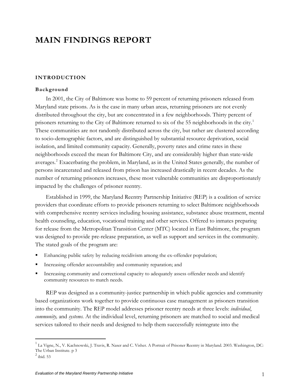# <span id="page-5-0"></span>**MAIN FINDINGS REPORT**

# **INTRODUCTION**

## **Background**

In 2001, the City of Baltimore was home to 59 percent of returning prisoners released from Maryland state prisons. As is the case in many urban areas, returning prisoners are not evenly distributed throughout the city, but are concentrated in a few neighborhoods. Thirty percent of prisoners returning to the City of Baltimore returned to six of the 55 neighborhoods in the city.<sup>[1](#page-5-0)</sup> These communities are not randomly distributed across the city, but rather are clustered according to socio-demographic factors, and are distinguished by substantial resource deprivation, social isolation, and limited community capacity. Generally, poverty rates and crime rates in these neighborhoods exceed the mean for Baltimore City, and are considerably higher than state-wide averages.<sup>[2](#page-5-0)</sup> Exacerbating the problem, in Maryland, as in the United States generally, the number of persons incarcerated and released from prison has increased drastically in recent decades. As the number of returning prisoners increases, these most vulnerable communities are disproportionately impacted by the challenges of prisoner reentry.

Established in 1999, the Maryland Reentry Partnership Initiative (REP) is a coalition of service providers that coordinate efforts to provide prisoners returning to select Baltimore neighborhoods with comprehensive reentry services including housing assistance, substance abuse treatment, mental health counseling, education, vocational training and other services. Offered to inmates preparing for release from the Metropolitan Transition Center (MTC) located in East Baltimore, the program was designed to provide pre-release preparation, as well as support and services in the community. The stated goals of the program are:

- Enhancing public safety by reducing recidivism among the ex-offender population;
- Increasing offender accountability and community reparation; and
- Increasing community and correctional capacity to adequately assess offender needs and identify community resources to match needs.

REP was designed as a community-justice partnership in which public agencies and community based organizations work together to provide continuous case management as prisoners transition into the community. The REP model addresses prisoner reentry needs at three levels: *individual*, *community,* and *systems.* At the individual level, returning prisoners are matched to social and medical services tailored to their needs and designed to help them successfully reintegrate into the

<sup>&</sup>lt;sup>1</sup> La Vigne, N., V. Kachnowski, J. Travis, R. Naser and C. Visher. A Portrait of Prisoner Reentry in Maryland. 2003. Washington, DC: The Urban Institute. p 3

 $^2$  ibid. 53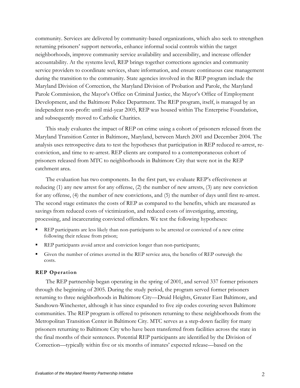<span id="page-6-0"></span>community. Services are delivered by community-based organizations, which also seek to strengthen returning prisoners' support networks, enhance informal social controls within the target neighborhoods, improve community service availability and accessibility, and increase offender accountability. At the systems level, REP brings together corrections agencies and community service providers to coordinate services, share information, and ensure continuous case management during the transition to the community. State agencies involved in the REP program include the Maryland Division of Correction, the Maryland Division of Probation and Parole, the Maryland Parole Commission, the Mayor's Office on Criminal Justice, the Mayor's Office of Employment Development, and the Baltimore Police Department. The REP program, itself, is managed by an independent non-profit: until mid-year 2005, REP was housed within The Enterprise Foundation, and subsequently moved to Catholic Charities.

This study evaluates the impact of REP on crime using a cohort of prisoners released from the Maryland Transition Center in Baltimore, Maryland, between March 2001 and December 2004. The analysis uses retrospective data to test the hypotheses that participation in REP reduced re-arrest, reconviction, and time to re-arrest. REP clients are compared to a contemporaneous cohort of prisoners released from MTC to neighborhoods in Baltimore City that were not in the REP catchment area.

The evaluation has two components. In the first part, we evaluate REP's effectiveness at reducing (1) any new arrest for any offense, (2) the number of new arrests, (3) any new conviction for any offense, (4) the number of new convictions, and (5) the number of days until first re-arrest. The second stage estimates the costs of REP as compared to the benefits, which are measured as savings from reduced costs of victimization, and reduced costs of investigating, arresting, processing, and incarcerating convicted offenders. We test the following hypotheses:

- REP participants are less likely than non-participants to be arrested or convicted of a new crime following their release from prison;
- REP participants avoid arrest and conviction longer than non-participants;
- Given the number of crimes averted in the REP service area, the benefits of REP outweigh the costs.

### **REP Operation**

The REP partnership began operating in the spring of 2001, and served 337 former prisoners through the beginning of 2005. During the study period, the program served former prisoners returning to three neighborhoods in Baltimore City—Druid Heights, Greater East Baltimore, and Sandtown-Winchester, although it has since expanded to five zip codes covering seven Baltimore communities. The REP program is offered to prisoners returning to these neighborhoods from the Metropolitan Transition Center in Baltimore City. MTC serves as a step-down facility for many prisoners returning to Baltimore City who have been transferred from facilities across the state in the final months of their sentences. Potential REP participants are identified by the Division of Correction—typically within five or six months of inmates' expected release—based on the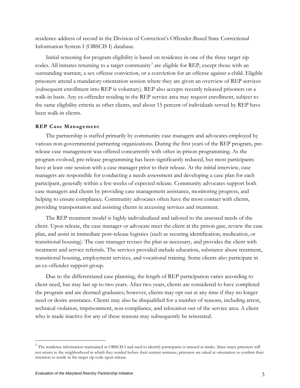<span id="page-7-0"></span>residence address of record in the Division of Correction's Offender-Based State Correctional Information System I (OBSCIS I) database.

Initial screening for program eligibility is based on residence in one of the three target zip codes. All inmates returning to a target community<sup>[3](#page-7-0)</sup> are eligible for REP, except those with an outstanding warrant, a sex offense conviction, or a conviction for an offense against a child. Eligible prisoners attend a mandatory orientation session where they are given an overview of REP services (subsequent enrollment into REP is voluntary). REP also accepts recently released prisoners on a walk-in basis. Any ex-offender residing in the REP service area may request enrollment, subject to the same eligibility criteria as other clients, and about 15 percent of individuals served by REP have been walk-in clients.

## **REP Case Management**

The partnership is staffed primarily by community case managers and advocates employed by various non-governmental partnering organizations. During the first years of the REP program, prerelease case management was offered concurrently with other in-prison programming. As the program evolved, pre-release programming has been significantly reduced, but most participants have at least one session with a case manager prior to their release. At the initial interview, case managers are responsible for conducting a needs assessment and developing a case plan for each participant, generally within a few weeks of expected release. Community advocates support both case managers and clients by providing case management assistance, monitoring progress, and helping to ensure compliance. Community advocates often have the most contact with clients, providing transportation and assisting clients in accessing services and treatment.

The REP treatment model is highly individualized and tailored to the assessed needs of the client. Upon release, the case manager or advocate meet the client at the prison gate, review the case plan, and assist in immediate post-release logistics (such as securing identification, medication, or transitional housing). The case manager revises the plan as necessary, and provides the client with treatment and service referrals. The services provided include education, substance abuse treatment, transitional housing, employment services, and vocational training. Some clients also participate in an ex-offender support group.

Due to the differentiated case planning, the length of REP participation varies according to client need, but may last up to two years. After two years, clients are considered to have completed the program and are deemed graduates; however, clients may opt out at any time if they no longer need or desire assistance. Clients may also be disqualified for a number of reasons, including arrest, technical violation, imprisonment, non-compliance, and relocation out of the service area. A client who is made inactive for any of these reasons may subsequently be reinstated.

 $3$  The residence information maintained in OBSCIS I and used to identify participants is entered at intake. Since many prisoners will not return to the neighborhood in which they resided before their current sentence, prisoners are asked at orientation to confirm their intention to reside in the target zip code upon release.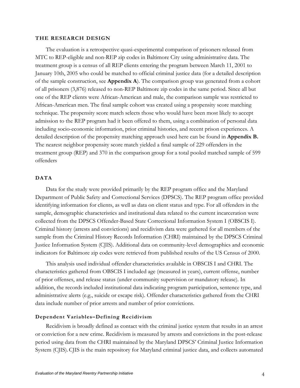#### <span id="page-8-0"></span>**THE RESEARCH DESIGN**

The evaluation is a retrospective quasi-experimental comparison of prisoners released from MTC to REP-eligible and non-REP zip codes in Baltimore City using administrative data. The treatment group is a census of all REP clients entering the program between March 11, 2001 to January 10th, 2005 who could be matched to official criminal justice data (for a detailed description of the sample construction, see **Appendix A**). The comparison group was generated from a cohort of all prisoners (3,876) released to non-REP Baltimore zip codes in the same period. Since all but one of the REP clients were African-American and male, the comparison sample was restricted to African-American men. The final sample cohort was created using a propensity score matching technique. The propensity score match selects those who would have been most likely to accept admission to the REP program had it been offered to them, using a combination of personal data including socio-economic information, prior criminal histories, and recent prison experiences. A detailed description of the propensity matching approach used here can be found in **Appendix B.**  The nearest neighbor propensity score match yielded a final sample of 229 offenders in the treatment group (REP) and 370 in the comparison group for a total pooled matched sample of 599 offenders

# **DATA**

Data for the study were provided primarily by the REP program office and the Maryland Department of Public Safety and Correctional Services (DPSCS). The REP program office provided identifying information for clients, as well as data on client status and type. For all offenders in the sample, demographic characteristics and institutional data related to the current incarceration were collected from the DPSCS Offender-Based State Correctional Information System I (OBSCIS I). Criminal history (arrests and convictions) and recidivism data were gathered for all members of the sample from the Criminal History Records Information (CHRI) maintained by the DPSCS Criminal Justice Information System (CJIS). Additional data on community-level demographics and economic indicators for Baltimore zip codes were retrieved from published results of the US Census of 2000.

This analysis used individual offender characteristics available in OBSCIS I and CHRI. The characteristics gathered from OBSCIS I included age (measured in years), current offense, number of prior offenses, and release status (under community supervision or mandatory release). In addition, the records included institutional data indicating program participation, sentence type, and administrative alerts (e.g., suicide or escape risk). Offender characteristics gathered from the CHRI data include number of prior arrests and number of prior convictions.

### **Dependent Variables–Defining Recidivism**

Recidivism is broadly defined as contact with the criminal justice system that results in an arrest or conviction for a new crime. Recidivism is measured by arrests and convictions in the post-release period using data from the CHRI maintained by the Maryland DPSCS' Criminal Justice Information System (CJIS).CJIS is the main repository for Maryland criminal justice data, and collects automated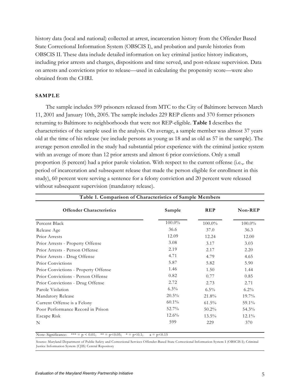<span id="page-9-0"></span>history data (local and national) collected at arrest, incarceration history from the Offender Based State Correctional Information System (OBSCIS I), and probation and parole histories from OBSCIS II. These data include detailed information on key criminal justice history indicators, including prior arrests and charges, dispositions and time served, and post-release supervision. Data on arrests and convictions prior to release—used in calculating the propensity score—were also obtained from the CHRI.

# **SAMPLE**

The sample includes 599 prisoners released from MTC to the City of Baltimore between March 11, 2001 and January 10th, 2005. The sample includes 229 REP clients and 370 former prisoners returning to Baltimore to neighborhoods that were not REP-eligible. **Table 1** describes the characteristics of the sample used in the analysis. On average, a sample member was almost 37 years old at the time of his release (we include persons as young as 18 and as old as 57 in the sample). The average person enrolled in the study had substantial prior experience with the criminal justice system with an average of more than 12 prior arrests and almost 6 prior convictions. Only a small proportion (6 percent) had a prior parole violation. With respect to the current offense (i.e.,. the period of incarceration and subsequent release that made the person eligible for enrollment in this study), 60 percent were serving a sentence for a felony conviction and 20 percent were released without subsequent supervision (mandatory release).

| Table 1. Comparison of Characteristics of Sample Members |          |            |           |  |  |
|----------------------------------------------------------|----------|------------|-----------|--|--|
| <b>Offender Characteristics</b>                          | Sample   | <b>REP</b> | Non-REP   |  |  |
| Percent Black                                            | 100.0%   | $100.0\%$  | $100.0\%$ |  |  |
| Release Age                                              | 36.6     | 37.0       | 36.3      |  |  |
| Prior Arrests                                            | 12.09    | 12.24      | 12.00     |  |  |
| Prior Arrests - Property Offense                         | 3.08     | 3.17       | 3.03      |  |  |
| Prior Arrests - Person Offense                           | 2.19     | 2.17       | 2.20      |  |  |
| Prior Arrests - Drug Offense                             | 4.71     | 4.79       | 4.65      |  |  |
| <b>Prior Convictions</b>                                 | 5.87     | 5.82       | 5.90      |  |  |
| Prior Convictions - Property Offense                     | 1.46     | 1.50       | 1.44      |  |  |
| Prior Convictions - Person Offense                       | 0.82     | 0.77       | 0.85      |  |  |
| Prior Convictions - Drug Offense                         | 2.72     | 2.73       | 2.71      |  |  |
| Parole Violation                                         | $6.3\%$  | $6.5\%$    | $6.2\%$   |  |  |
| Mandatory Release                                        | 20.5%    | 21.8%      | $19.7\%$  |  |  |
| Current Offense is a Felony                              | $60.1\%$ | $61.5\%$   | 59.1%     |  |  |
| Poor Performance Record in Prison                        | 52.7%    | $50.2\%$   | 54.3%     |  |  |
| Escape Risk                                              | 12.6%    | $13.5\%$   | 12.1%     |  |  |
| N                                                        | 599      | 229        | 370       |  |  |

Note: Significance: \*\*\* = p < 0.01; \*\* = p < 0.05; \* = p < 0.1; a = p < 0.15

Source: Maryland Department of Public Safety and Correctional Services Offender-Based State Correctional Information System I (OBSCIS I); Criminal Justice Information System (CJIS) Central Repository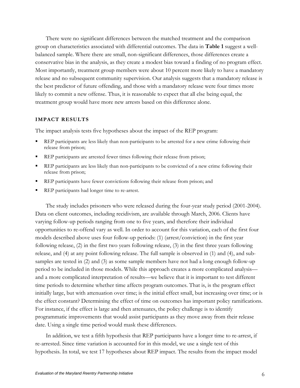<span id="page-10-0"></span>There were no significant differences between the matched treatment and the comparison group on characteristics associated with differential outcomes. The data in **Table 1** suggest a wellbalanced sample. Where there are small, non-significant differences, those differences create a conservative bias in the analysis, as they create a modest bias toward a finding of no program effect. Most importantly, treatment group members were about 10 percent more likely to have a mandatory release and no subsequent community supervision. Our analysis suggests that a mandatory release is the best predictor of future offending, and those with a mandatory release were four times more likely to commit a new offense. Thus, it is reasonable to expect that all else being equal, the treatment group would have more new arrests based on this difference alone.

#### **IMPACT RESULTS**

The impact analysis tests five hypotheses about the impact of the REP program:

- REP participants are less likely than non-participants to be arrested for a new crime following their release from prison;
- REP participants are arrested fewer times following their release from prison;
- **REP** participants are less likely than non-participants to be convicted of a new crime following their release from prison;
- REP participants have fewer convictions following their release from prison; and
- REP participants had longer time to re-arrest.

The study includes prisoners who were released during the four-year study period (2001-2004). Data on client outcomes, including recidivism, are available through March, 2006. Clients have varying follow-up periods ranging from one to five years, and therefore their individual opportunities to re-offend vary as well. In order to account for this variation, each of the first four models described above uses four follow-up periods: (1) (arrest/conviction) in the first year following release, (2) in the first two years following release, (3) in the first three years following release, and (4) at any point following release. The full sample is observed in (1) and (4), and subsamples are tested in (2) and (3) as some sample members have not had a long enough follow-up period to be included in those models. While this approach creates a more complicated analysis and a more complicated interpretation of results—we believe that it is important to test different time periods to determine whether time affects program outcomes. That is, is the program effect initially large, but with attenuation over time; is the initial effect small, but increasing over time; or is the effect constant? Determining the effect of time on outcomes has important policy ramifications. For instance, if the effect is large and then attenuates, the policy challenge is to identify programmatic improvements that would assist participants as they move away from their release date. Using a single time period would mask these differences.

In addition, we test a fifth hypothesis that REP participants have a longer time to re-arrest, if re-arrested. Since time variation is accounted for in this model, we use a single test of this hypothesis. In total, we test 17 hypotheses about REP impact. The results from the impact model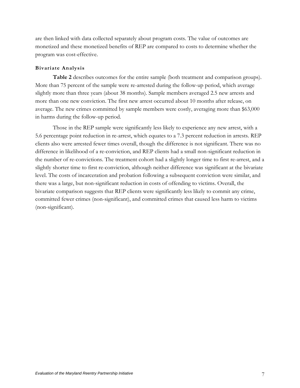<span id="page-11-0"></span>are then linked with data collected separately about program costs. The value of outcomes are monetized and these monetized benefits of REP are compared to costs to determine whether the program was cost-effective.

# **Bivariate Analysis**

**Table 2** describes outcomes for the entire sample (both treatment and comparison groups). More than 75 percent of the sample were re-arrested during the follow-up period, which average slightly more than three years (about 38 months). Sample members averaged 2.5 new arrests and more than one new conviction. The first new arrest occurred about 10 months after release, on average. The new crimes committed by sample members were costly, averaging more than \$63,000 in harms during the follow-up period.

Those in the REP sample were significantly less likely to experience any new arrest, with a 5.6 percentage point reduction in re-arrest, which equates to a 7.3 percent reduction in arrests. REP clients also were arrested fewer times overall, though the difference is not significant. There was no difference in likelihood of a re-conviction, and REP clients had a small non-significant reduction in the number of re-convictions. The treatment cohort had a slightly longer time to first re-arrest, and a slightly shorter time to first re-conviction, although neither difference was significant at the bivariate level. The costs of incarceration and probation following a subsequent conviction were similar, and there was a large, but non-significant reduction in costs of offending to victims. Overall, the bivariate comparison suggests that REP clients were significantly less likely to commit any crime, committed fewer crimes (non-significant), and committed crimes that caused less harm to victims (non-significant).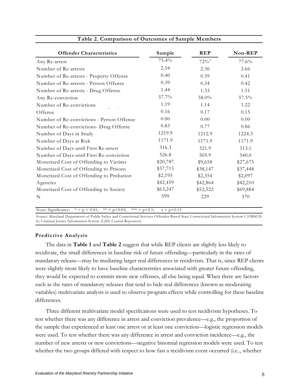<span id="page-12-0"></span>

| <b>Offender Characteristics</b>           | Sample   | <b>REP</b>         | Non-REP  |
|-------------------------------------------|----------|--------------------|----------|
| Any Re-arrest                             | 75.4%    | $72%$ <sup>a</sup> | 77.6%    |
| Number of Re-arrests                      | 2.54     | 2.36               | 2.66     |
| Number of Re-arrests - Property Offense   | 0.40     | 0.39               | 0.41     |
| Number of Re-arrests - Person Offense     | 0.39     | 0.34               | 0.42     |
| Number of Re-arrests - Drug Offense       | 1.44     | 1.33               | 1.51     |
| Any Re-conviction                         | 57.7%    | 58.0%              | 57.5%    |
| Number of Re-convictions                  | 1.19     | 1.14               | 1.22     |
| Offense                                   | 0.16     | 0.17               | 0.15     |
| Number of Re-convictions - Person Offense | 0.00     | 0.00               | 0.00     |
| Number of Re-convictions- Drug Offense    | 0.83     | 0.77               | 0.86     |
| Number of Days in Study                   | 1219.9   | 1212.9             | 1224.3   |
| Number of Days at Risk                    | 1171.9   | 1171.9             | 1171.9   |
| Number of Days until First Re-arrest      | 316.3    | 321.9              | 313.1    |
| Number of Days until First Re-conviction  | 526.8    | 505.9              | 540.0    |
| Monetized Cost of Offending to Victims    | \$20,787 | \$9,658            | \$27,675 |
| Monetized Cost of Offending to Prisons    | \$37,715 | \$38,147           | \$37,448 |
| Monetized Cost of Offending to Probation  | \$2,195  | \$2,354            | \$2,097  |
| Agencies                                  | \$42,459 | \$42,864           | \$42,210 |
| Monetized Cost of Offending to Society    | \$63,247 | \$52,522           | \$69,884 |
| N                                         | 599      | 229                | 370      |

Note: Significance:  $* = p < 0.01$ ;  $* = p < 0.05$ ;  $* = p < 0.1$ ;  $a = p < 0.15$ 

Source: Maryland Department of Public Safety and Correctional Services Offender-Based State Correctional Information System I (OBSCIS I); Criminal Justice Information System (CJIS) Central Repository

# **Predictive Analysis**

The data in **Table 1** and **Table 2** suggest that while REP clients are slightly less likely to recidivate, the small differences in baseline risk of future offending—particularly in the rates of mandatory release—may be mediating larger real differences in recidivism. That is, since REP clients were slightly more likely to have baseline characteristics associated with greater future offending, they would be expected to commit more new offenses, all else being equal. When there are factors such as the rates of mandatory releases that tend to hide real differences (known as moderating variables) multivariate analysis is used to observe program effects while controlling for these baseline differences.

Three different multivariate model specifications were used to test recidivism hypotheses. To test whether there was any difference in arrest and conviction prevalence—e.g., the proportion of the sample that experienced at least one arrest or at least one conviction—logistic regression models were used. To test whether there was any difference in arrest and conviction incidence—e.g., the number of new arrests or new convictions—negative binomial regression models were used. To test whether the two groups differed with respect to how fast a recidivism event occurred (i.e.., whether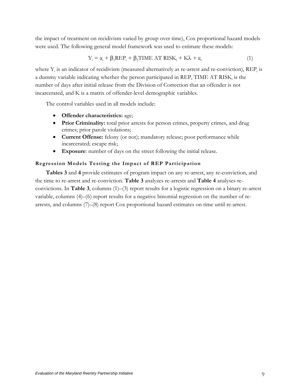<span id="page-13-0"></span>the impact of treatment on recidivism varied by group over time), Cox proportional hazard models were used. The following general model framework was used to estimate these models:

$$
Y_i = \alpha_i + \beta_1 R E P_i + \beta_2 TIME AT RISK_i + K\lambda + \varepsilon_i
$$
 (1)

where  $Y_i$  is an indicator of recidivism (measured alternatively as re-arrest and re-conviction),  $\text{REP}_i$  is a dummy variable indicating whether the person participated in REP, TIME AT RISK, is the number of days after initial release from the Division of Correction that an offender is not incarcerated, and K is a matrix of offender-level demographic variables.

The control variables used in all models include:

- **Offender characteristics:** age;
- **Prior Criminality:** total prior arrests for person crimes, property crimes, and drug crimes; prior parole violations;
- **Current Offense:** felony (or not); mandatory release; poor performance while incarcerated; escape risk;
- **Exposure**: number of days on the street following the initial release.

# **Regression Models Testing the Impact of REP Participation**

**Tables 3** and **4** provide estimates of program impact on any re-arrest, any re-conviction, and the time to re-arrest and re-conviction. **Table 3** analyzes re-arrests and **Table 4** analyses reconvictions. In **Table 3**, columns (1)–(3) report results for a logistic regression on a binary re-arrest variable, columns (4)–(6) report results for a negative binomial regression on the number of rearrests, and columns (7)–(8) report Cox proportional hazard estimates on time until re-arrest.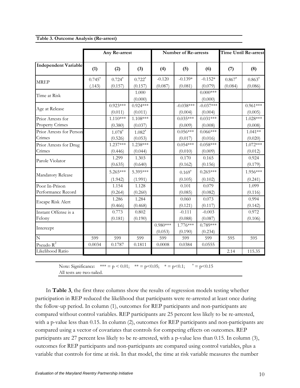|  |  |  | Table 3. Outcome Analysis (Re-arrest) |
|--|--|--|---------------------------------------|
|--|--|--|---------------------------------------|

|                                             | Any Re-arrest             |                                 |                                 | Time Until Re-arrest<br><b>Number of Re-arrests</b> |                        |                        |                                 |                            |
|---------------------------------------------|---------------------------|---------------------------------|---------------------------------|-----------------------------------------------------|------------------------|------------------------|---------------------------------|----------------------------|
| <b>Independent Variable</b>                 | (1)                       | (2)                             | (3)                             | (4)                                                 | (5)                    | (6)                    | (7)                             | (8)                        |
| <b>MREP</b>                                 | $0.745^{\circ}$<br>(.143) | $0.724$ <sup>a</sup><br>(0.157) | $0.722^{\mathrm{a}}$<br>(0.157) | $-0.120$<br>(0.087)                                 | $-0.139*$<br>(0.081)   | $-0.152*$<br>(0.079)   | $0.867$ <sup>a</sup><br>(0.084) | $0.863^{\circ}$<br>(0.086) |
| Time at Risk                                |                           |                                 | 1.000<br>(0.000)                |                                                     |                        | $0.000$ ***<br>(0.000) |                                 |                            |
| Age at Release                              |                           | $0.923***$<br>(0.011)           | $0.924***$<br>(0.011)           |                                                     | $-0.038***$<br>(0.004) | $-0.037***$<br>(0.004) |                                 | $0.961***$<br>(0.005)      |
| Prior Arrests for<br><b>Property Crimes</b> |                           | $1.110***$<br>(0.380)           | $1.108***$<br>(0.037)           |                                                     | $0.035***$<br>(0.009)  | $0.031***$<br>(0.008)  |                                 | 1.028***<br>(0.008)        |
| Prior Arrests for Person<br>Crimes          |                           | $1.078^{a}$<br>(0.526)          | $1.082^{a}$<br>(0.053)          |                                                     | $0.056***$<br>(0.017)  | $0.066***$<br>(0.016)  |                                 | $1.041**$<br>(0.020)       |
| Prior Arrests for Drug<br>Crimes            |                           | $1.237***$<br>(0.446)           | 1.238***<br>(0.044)             |                                                     | $0.054***$<br>(0.010)  | $0.058***$<br>(0.009)  |                                 | $1.072***$<br>(0.012)      |
| Parole Violator                             |                           | 1.299<br>(0.635)                | 1.303<br>(0.640)                |                                                     | 0.170<br>(0.162)       | 0.165<br>(0.156)       |                                 | 0.924<br>(0.179)           |
| Mandatory Release                           |                           | $5.265***$<br>(1.942)           | 5.395***<br>(1.991)             |                                                     | $0.169^{a}$<br>(0.105) | $0.265***$<br>(0.102)  |                                 | 1.956***<br>(0.241)        |
| Poor In-Prison<br>Performance Record        |                           | 1.154<br>(0.264)                | 1.128<br>(0.260)                |                                                     | 0.101<br>(0.085)       | 0.079<br>(0.082)       |                                 | 1.099<br>(0.116)           |
| Escape Risk Alert                           |                           | 1.286<br>(0.466)                | 1.284<br>(0.468)                |                                                     | 0.060<br>(0.121)       | 0.073<br>(0.117)       |                                 | 0.994<br>(0.142)           |
| Instant Offense is a<br>Felony              |                           | 0.773<br>(0.181)                | 0.802<br>(0.190)                |                                                     | $-0.111$<br>(0.088)    | $-0.003$<br>(0.087)    |                                 | 0.972<br>(0.106)           |
| Intercept                                   |                           |                                 |                                 | $0.980***$<br>(0.053)                               | $1.776***$<br>(0.190)  | $0.789***$<br>(0.234)  |                                 |                            |
| N                                           | 599                       | 599                             | 599                             | 599                                                 | 599                    | 599                    | 595                             | 595                        |
| Pseudo $R^2$<br>Likelihood Ratio            | 0.0034                    | 0.1787                          | 0.1811                          | 0.0008                                              | 0.0384                 | 0.0555                 | 2.14                            | 115.35                     |

Note: Significance:  $*** = p < 0.01$ ;  $** = p < 0.05$ ;  $*= p < 0.1$ ;  $a = p < 0.15$ All tests are two-tailed.

In **Table 3**, the first three columns show the results of regression models testing whether participation in REP reduced the likelihood that participants were re-arrested at least once during the follow-up period. In column (1), outcomes for REP participants and non-participants are compared without control variables. REP participants are 25 percent less likely to be re-arrested, with a p-value less than 0.15. In column (2), outcomes for REP participants and non-participants are compared using a vector of covariates that controls for competing effects on outcomes. REP participants are 27 percent less likely to be re-arrested, with a p-value less than 0.15. In column (3), outcomes for REP participants and non-participants are compared using control variables, plus a variable that controls for time at risk. In that model, the time at risk variable measures the number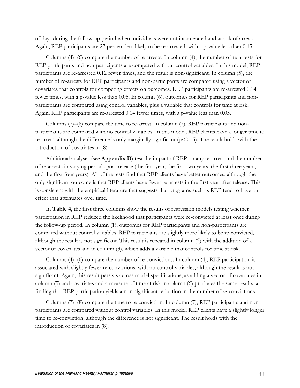of days during the follow-up period when individuals were not incarcerated and at risk of arrest. Again, REP participants are 27 percent less likely to be re-arrested, with a p-value less than 0.15.

Columns (4)–(6) compare the number of re-arrests. In column (4), the number of re-arrests for REP participants and non-participants are compared without control variables. In this model, REP participants are re-arrested 0.12 fewer times, and the result is non-significant. In column (5), the number of re-arrests for REP participants and non-participants are compared using a vector of covariates that controls for competing effects on outcomes. REP participants are re-arrested 0.14 fewer times, with a p-value less than 0.05. In column (6), outcomes for REP participants and nonparticipants are compared using control variables, plus a variable that controls for time at risk. Again, REP participants are re-arrested 0.14 fewer times, with a p-value less than 0.05.

Columns  $(7)$ – $(8)$  compare the time to re-arrest. In column  $(7)$ , REP participants and nonparticipants are compared with no control variables. In this model, REP clients have a longer time to re-arrest, although the difference is only marginally significant  $(p<0.15)$ . The result holds with the introduction of covariates in (8).

Additional analyses (see **Appendix D**) test the impact of REP on any re-arrest and the number of re-arrests in varying periods post-release (the first year, the first two years, the first three years, and the first four years). All of the tests find that REP clients have better outcomes, although the only significant outcome is that REP clients have fewer re-arrests in the first year after release. This is consistent with the empirical literature that suggests that programs such as REP tend to have an effect that attenuates over time.

In **Table 4**, the first three columns show the results of regression models testing whether participation in REP reduced the likelihood that participants were re-convicted at least once during the follow-up period. In column (1), outcomes for REP participants and non-participants are compared without control variables. REP participants are slightly more likely to be re-convicted, although the result is not significant. This result is repeated in column (2) with the addition of a vector of covariates and in column (3), which adds a variable that controls for time at risk.

Columns (4)–(6) compare the number of re-convictions. In column (4), REP participation is associated with slightly fewer re-convictions, with no control variables, although the result is not significant. Again, this result persists across model specifications, as adding a vector of covariates in column (5) and covariates and a measure of time at risk in column (6) produces the same results: a finding that REP participation yields a non-significant reduction in the number of re-convictions.

Columns  $(7)$ – $(8)$  compare the time to re-conviction. In column  $(7)$ , REP participants and nonparticipants are compared without control variables. In this model, REP clients have a slightly longer time to re-conviction, although the difference is not significant. The result holds with the introduction of covariates in (8).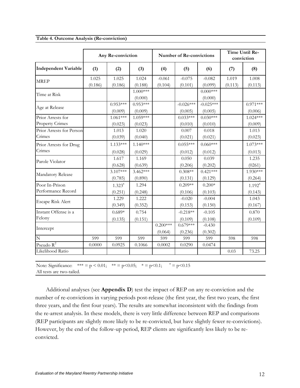|  | Table 4. Outcome Analysis (Re-conviction) |
|--|-------------------------------------------|
|  |                                           |

|                                             |                  | Time Until Re-<br>Any Re-conviction<br><b>Number of Re-convictions</b><br>conviction |                       |                       |                        |                        |                  |                        |  |  |
|---------------------------------------------|------------------|--------------------------------------------------------------------------------------|-----------------------|-----------------------|------------------------|------------------------|------------------|------------------------|--|--|
| <b>Independent Variable</b>                 | (1)              | (2)                                                                                  | (3)                   | (4)                   | (5)                    | (6)                    | (7)              | (8)                    |  |  |
| <b>MREP</b>                                 | 1.025<br>(0.186) | 1.025<br>(0.186)                                                                     | 1.024<br>(0.188)      | $-0.061$<br>(0.104)   | $-0.075$<br>(0.101)    | $-0.082$<br>(0.099)    | 1.019<br>(0.113) | 1.008<br>(0.113)       |  |  |
| Time at Risk                                |                  |                                                                                      | $1.000***$<br>(0.000) |                       |                        | $0.000$ ***<br>(0.000) |                  |                        |  |  |
| Age at Release                              |                  | $0.953***$<br>(0.009)                                                                | $0.953***$<br>(0.009) |                       | $-0.026***$<br>(0.005) | $-0.025***$<br>(0.005) |                  | $0.971***$<br>(0.006)  |  |  |
| Prior Arrests for<br><b>Property Crimes</b> |                  | $1.061***$<br>(0.023)                                                                | $1.059***$<br>(0.023) |                       | $0.033***$<br>(0.010)  | $0.030***$<br>(0.010)  |                  | $1.024***$<br>(0.009)  |  |  |
| Prior Arrests for Person<br>Crimes          |                  | 1.013<br>(0.039)                                                                     | 1.020<br>(0.040)      |                       | 0.007<br>(0.021)       | 0.018<br>(0.021)       |                  | 1.013<br>(0.023)       |  |  |
| Prior Arrests for Drug<br>Crimes            |                  | $1.133***$<br>(0.028)                                                                | $1.140***$<br>(0.029) |                       | $0.055***$<br>(0.012)  | $0.060***$<br>(0.012)  |                  | $1.073***$<br>(0.013)  |  |  |
| Parole Violator                             |                  | 1.617<br>(0.628)                                                                     | 1.169<br>(0.639)      |                       | 0.050<br>(0.206)       | 0.039<br>(0.202)       |                  | 1.235<br>(0261)        |  |  |
| Mandatory Release                           |                  | $3.107***$<br>(0.785)                                                                | $3.462***$<br>(0.890) |                       | $0.308**$<br>(0.131)   | $0.421***$<br>(0.129)  |                  | 1.930***<br>(0.264)    |  |  |
| Poor In-Prison<br>Performance Record        |                  | $1.323^{a}$<br>(0.251)                                                               | 1.294<br>(0.248)      |                       | $0.209**$<br>(0.106)   | $0.200*$<br>(0.103)    |                  | $1.192^{a}$<br>(0.143) |  |  |
| Escape Risk Alert                           |                  | 1.229<br>(0.349)                                                                     | 1.222<br>(0.352)      |                       | $-0.020$<br>(0.153)    | $-0.004$<br>(0.150)    |                  | 1.043<br>(0.167)       |  |  |
| Instant Offense is a<br>Felony              |                  | $0.689*$<br>(0.135)                                                                  | 0.754<br>(0.151)      |                       | $-0.218**$<br>(0.109)  | $-0.105$<br>(0.108)    |                  | 0.870<br>(0.109)       |  |  |
| Intercept                                   |                  |                                                                                      |                       | $0.200***$<br>(0.064) | $0.679***$<br>(0.236)  | $-0.430$<br>(0.302)    |                  |                        |  |  |
| $\overline{\text{N}}$                       | 599              | 599                                                                                  | 599                   | 599                   | 599                    | 599                    | 598              | 598                    |  |  |
| Pseudo $R^2$<br>Likelihood Ratio            | 0.0000           | 0.0925                                                                               | 0.1066                | 0.0002                | 0.0290                 | 0.0474                 | 0.03             | 73.25                  |  |  |

Note: Significance:  $*** = p < 0.01$ ;  $** = p < 0.05$ ;  $*= p < 0.1$ ;  $a = p < 0.15$ All tests are two-tailed.

Additional analyses (see **Appendix D**) test the impact of REP on any re-conviction and the number of re-convictions in varying periods post-release (the first year, the first two years, the first three years, and the first four years). The results are somewhat inconsistent with the findings from the re-arrest analysis. In these models, there is very little difference between REP and comparisons (REP participants are slightly more likely to be re-convicted, but have slightly fewer re-convictions). However, by the end of the follow-up period, REP clients are significantly less likely to be reconvicted.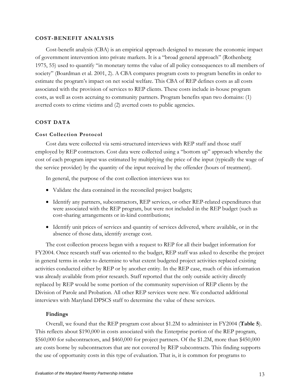# <span id="page-17-0"></span>**COST-BENEFIT ANALYSIS**

Cost-benefit analysis (CBA) is an empirical approach designed to measure the economic impact of government intervention into private markets. It is a "broad general approach" (Rothenberg 1975, 55) used to quantify "in monetary terms the value of all policy consequences to all members of society" (Boardman et al. 2001, 2). A CBA compares program costs to program benefits in order to estimate the program's impact on net social welfare. This CBA of REP defines costs as all costs associated with the provision of services to REP clients. These costs include in-house program costs, as well as costs accruing to community partners. Program benefits span two domains: (1) averted costs to crime victims and (2) averted costs to public agencies.

# **COST DATA**

# **Cost Collection Protocol**

Cost data were collected via semi-structured interviews with REP staff and those staff employed by REP contractors. Cost data were collected using a "bottom up" approach whereby the cost of each program input was estimated by multiplying the price of the input (typically the wage of the service provider) by the quantity of the input received by the offender (hours of treatment).

In general, the purpose of the cost collection interviews was to:

- Validate the data contained in the reconciled project budgets;
- Identify any partners, subcontractors, REP services, or other REP-related expenditures that were associated with the REP program, but were not included in the REP budget (such as cost-sharing arrangements or in-kind contributions;
- Identify unit prices of services and quantity of services delivered, where available, or in the absence of those data, identify average cost.

The cost collection process began with a request to REP for all their budget information for FY2004. Once research staff was oriented to the budget, REP staff was asked to describe the project in general terms in order to determine to what extent budgeted project activities replaced existing activities conducted either by REP or by another entity. In the REP case, much of this information was already available from prior research. Staff reported that the only outside activity directly replaced by REP would be some portion of the community supervision of REP clients by the Division of Parole and Probation. All other REP services were new. We conducted additional interviews with Maryland DPSCS staff to determine the value of these services.

# **Findings**

Overall, we found that the REP program cost about \$1.2M to administer in FY2004 (**Table 5**). This reflects about \$190,000 in costs associated with the Enterprise portion of the REP program, \$560,000 for subcontractors, and \$460,000 for project partners. Of the \$1.2M, more than \$450,000 are costs borne by subcontractors that are not covered by REP subcontracts. This finding supports the use of opportunity costs in this type of evaluation. That is, it is common for programs to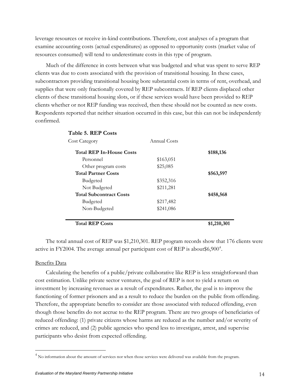<span id="page-18-0"></span>leverage resources or receive in-kind contributions. Therefore, cost analyses of a program that examine accounting costs (actual expenditures) as opposed to opportunity costs (market value of resources consumed) will tend to underestimate costs in this type of program.

Much of the difference in costs between what was budgeted and what was spent to serve REP clients was due to costs associated with the provision of transitional housing. In these cases, subcontractors providing transitional housing bore substantial costs in terms of rent, overhead, and supplies that were only fractionally covered by REP subcontracts. If REP clients displaced other clients of these transitional housing slots, or if these services would have been provided to REP clients whether or not REP funding was received, then these should not be counted as new costs. Respondents reported that neither situation occurred in this case, but this can not be independently confirmed.

| Table 5. REP Costs              |              |             |
|---------------------------------|--------------|-------------|
| <b>Cost Category</b>            | Annual Costs |             |
| <b>Total REP In-House Costs</b> |              | \$188,136   |
| Personnel                       | \$163,051    |             |
| Other program costs             | \$25,085     |             |
| <b>Total Partner Costs</b>      |              | \$563,597   |
| Budgeted                        | \$352,316    |             |
| Not Budgeted                    | \$211,281    |             |
| <b>Total Subcontract Costs</b>  |              | \$458,568   |
| Budgeted                        | \$217,482    |             |
| Non-Budgeted                    | \$241,086    |             |
| <b>Total REP Costs</b>          |              | \$1,210,301 |

The total annual cost of REP was \$1,210,301. REP program records show that 176 clients were active in FY200[4](#page-18-0). The average annual per participant cost of REP is about\$6,900<sup>4</sup>.

### Benefits Data

 $\overline{a}$ 

Calculating the benefits of a public/private collaborative like REP is less straightforward than cost estimation. Unlike private sector ventures, the goal of REP is not to yield a return on investment by increasing revenues as a result of expenditures. Rather, the goal is to improve the functioning of former prisoners and as a result to reduce the burden on the public from offending. Therefore, the appropriate benefits to consider are those associated with reduced offending, even though those benefits do not accrue to the REP program. There are two groups of beneficiaries of reduced offending: (1) private citizens whose harms are reduced as the number and/or severity of crimes are reduced, and (2) public agencies who spend less to investigate, arrest, and supervise participants who desist from expected offending.

<sup>&</sup>lt;sup>4</sup> No information about the amount of services nor when those services were delivered was available from the program.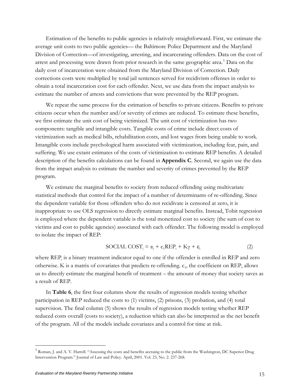<span id="page-19-0"></span>Estimation of the benefits to public agencies is relatively straightforward. First, we estimate the average unit costs to two public agencies— the Baltimore Police Department and the Maryland Division of Correction—of investigating, arresting, and incarcerating offenders. Data on the cost of arrest and processing were drawn from prior research in the same geographic area.<sup>[5](#page-19-0)</sup> Data on the daily cost of incarceration were obtained from the Maryland Division of Correction. Daily corrections costs were multiplied by total jail sentences served for recidivism offenses in order to obtain a total incarceration cost for each offender. Next, we use data from the impact analysis to estimate the number of arrests and convictions that were prevented by the REP program.

We repeat the same process for the estimation of benefits to private citizens. Benefits to private citizens occur when the number and/or severity of crimes are reduced. To estimate these benefits, we first estimate the unit cost of being victimized. The unit cost of victimization has two components: tangible and intangible costs. Tangible costs of crime include direct costs of victimization such as medical bills, rehabilitation costs, and lost wages from being unable to work. Intangible costs include psychological harm associated with victimization, including fear, pain, and suffering. We use extant estimates of the costs of victimization to estimate REP benefits. A detailed description of the benefits calculations can be found in **Appendix C**. Second, we again use the data from the impact analysis to estimate the number and severity of crimes prevented by the REP program.

We estimate the marginal benefits to society from reduced offending using multivariate statistical methods that control for the impact of a number of determinants of re-offending. Since the dependent variable for those offenders who do not recidivate is censored at zero, it is inappropriate to use OLS regression to directly estimate marginal benefits. Instead, Tobit regression is employed where the dependent variable is the total monetized cost to society (the sum of cost to victims and cost to public agencies) associated with each offender. The following model is employed to isolate the impact of REP:

$$
SOCIAL COST_{i} = \alpha_{i} + c_{1} REP_{i} + K\gamma + \varepsilon_{i}
$$
 (2)

where REP<sub>i</sub> is a binary treatment indicator equal to one if the offender is enrolled in REP and zero otherwise. K is a matrix of covariates that predicts re-offending.  $c_1$ , the coefficient on REP, allows us to directly estimate the marginal benefit of treatment – the amount of money that society saves as a result of REP.

In **Table 6**, the first four columns show the results of regression models testing whether participation in REP reduced the costs to (1) victims, (2) prisons, (3) probation, and (4) total supervision. The final column (5) shows the results of regression models testing whether REP reduced costs overall (costs to society), a reduction which can also be interpreted as the net benefit of the program. All of the models include covariates and a control for time at risk.

<sup>&</sup>lt;sup>5</sup> Roman, J. and A. V. Harrell. "Assessing the costs and benefits accruing to the public from the Washington, DC Superior Drug Intervention Program." Journal of Law and Policy. April, 2001. Vol. 23, No. 2. 237-268.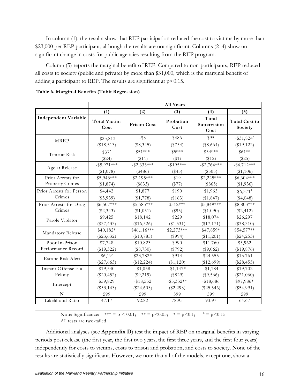In column (1), the results show that REP participation reduced the cost to victims by more than \$23,000 per REP participant, although the results are not significant. Columns (2–4) show no significant change in costs for public agencies resulting from the REP program.

Column (5) reports the marginal benefit of REP. Compared to non-participants, REP reduced all costs to society (public and private) by more than \$31,000, which is the marginal benefit of adding a participant to REP. The results are significant at  $p$  < 0.15.

| (1)<br>(3)<br>(2)<br>(4)<br>(5)<br><b>Independent Variable</b><br>Total<br><b>Total Victim</b><br>Probation<br><b>Total Cost to</b><br>Supervision<br><b>Prison Cost</b><br>Cost<br>Cost<br>Society<br>Cost<br>$-$ \$3<br>\$95<br>\$486<br>$-$ \$31,824 $^a$<br>$-$ \$23,813<br><b>MREP</b><br>(\$8,345)<br>(\$754)<br>$(\$8,664)$<br>(\$19,122)<br>$(\$18,513)$<br>\$51 ***<br>$$5***$<br>\$54 ***<br>\$37 <sup>a</sup><br>$$61**$$<br>Time at Risk<br>(\$24)<br>( \$11)<br>$(\$1)$<br>( \$12)<br>(\$25)<br>$-$ \$5,971***<br>$-$ \$2,633***<br>$-\$195***$<br>$-$ \$2,764***<br>$-$ \$6,712***<br>Age at Release<br>(\$1,078)<br>$(\$486)$<br>(\$45)<br>$(\$505)$<br>(\$1,106)<br>Prior Arrests for<br>$$5,943***$<br>$$2,195***$<br>$$2,225***$<br>$$6,604***$<br>\$19<br>Property Crimes<br>(\$77)<br>(\$1,874)<br>(\$833)<br>$(\$865)$<br>(\$1,936)<br>\$4,442<br>\$1,877<br>\$190<br>\$1,965<br>Prior Arrests for Person<br>$$6,371$ <sup>a</sup><br>Crimes<br>$(\$3,939)$<br>$(\$4,048)$<br>(\$1,778)<br>(\$163)<br>(\$1,847)<br>$$6,507***$<br>Prior Arrests for Drug<br>\$5,585***<br>\$512 ***<br>\$5,849 ***<br>\$8,803***<br>Crimes<br>$(\$2,343)$<br>(\$1,051)<br>(\$95)<br>(\$1,090)<br>(\$2,412)<br>\$18,142<br>\$229<br>\$18,074<br>\$9,425<br>\$26,297<br>Parole Violator<br>$(\$37,433)$<br>$(\$16,526)$<br>(\$1,531)<br>$(\$17,171)$<br>$(\$38,310)$<br>$$46,116***$<br>\$40,182*<br>$$2,273***$<br>\$47,859*<br>$$54,577**$<br>Mandatory Release<br>$(\$23,632)$<br>$(\$10,785)$<br>(\$994)<br>(\$11,201)<br>$(\$24,253)$<br>Poor In-Prison<br>\$7,748<br>\$10,823<br>\$990<br>\$11,760<br>\$5,962<br>Performance Record<br>$(\$19,322)$<br>(\$8,730)<br>(\$792)<br>(\$9,062)<br>$(\$19,876)$<br>$-$ \$6,191<br>\$23,782*<br>\$914<br>\$24,555<br>\$13,761<br>Escape Risk Alert<br>$(\$27,663)$<br>(\$12,224)<br>(\$1,120)<br>$(\$12,699)$<br>$(\$28,455)$<br>Instant Offense is a<br>$-\$1,147*$<br>$-$1,058$<br>\$19,702<br>\$19,540<br>$- $1,184$<br>Felony<br>$(\$20,452)$<br>$(\$9,219)$<br>(\$829)<br>$(\$9,566)$<br>$(\$21,060)$<br>\$97,986*<br>\$59,829<br>$-$ \$5,332**<br>$-$ \$18,686<br>$-$ \$18,552<br>Intercept<br>$(\$53,143)$<br>$(\$24,603)$<br>$(\$2,293)$<br>$(\$25,546)$<br>$(\$54,991)$<br>N<br>599<br>599<br>599<br>599<br>599<br>Likelihood Ratio<br>47.17<br>92.82<br>78.95<br>93.97<br>64.67 |  | <b>All Years</b> |  |
|--------------------------------------------------------------------------------------------------------------------------------------------------------------------------------------------------------------------------------------------------------------------------------------------------------------------------------------------------------------------------------------------------------------------------------------------------------------------------------------------------------------------------------------------------------------------------------------------------------------------------------------------------------------------------------------------------------------------------------------------------------------------------------------------------------------------------------------------------------------------------------------------------------------------------------------------------------------------------------------------------------------------------------------------------------------------------------------------------------------------------------------------------------------------------------------------------------------------------------------------------------------------------------------------------------------------------------------------------------------------------------------------------------------------------------------------------------------------------------------------------------------------------------------------------------------------------------------------------------------------------------------------------------------------------------------------------------------------------------------------------------------------------------------------------------------------------------------------------------------------------------------------------------------------------------------------------------------------------------------------------------------------------------------------------------------------------------------------------------------------------------------------------------------------------------------------------------------------------------------------------------------------------------------------------------------------------------------------|--|------------------|--|
|                                                                                                                                                                                                                                                                                                                                                                                                                                                                                                                                                                                                                                                                                                                                                                                                                                                                                                                                                                                                                                                                                                                                                                                                                                                                                                                                                                                                                                                                                                                                                                                                                                                                                                                                                                                                                                                                                                                                                                                                                                                                                                                                                                                                                                                                                                                                            |  |                  |  |
|                                                                                                                                                                                                                                                                                                                                                                                                                                                                                                                                                                                                                                                                                                                                                                                                                                                                                                                                                                                                                                                                                                                                                                                                                                                                                                                                                                                                                                                                                                                                                                                                                                                                                                                                                                                                                                                                                                                                                                                                                                                                                                                                                                                                                                                                                                                                            |  |                  |  |
|                                                                                                                                                                                                                                                                                                                                                                                                                                                                                                                                                                                                                                                                                                                                                                                                                                                                                                                                                                                                                                                                                                                                                                                                                                                                                                                                                                                                                                                                                                                                                                                                                                                                                                                                                                                                                                                                                                                                                                                                                                                                                                                                                                                                                                                                                                                                            |  |                  |  |
|                                                                                                                                                                                                                                                                                                                                                                                                                                                                                                                                                                                                                                                                                                                                                                                                                                                                                                                                                                                                                                                                                                                                                                                                                                                                                                                                                                                                                                                                                                                                                                                                                                                                                                                                                                                                                                                                                                                                                                                                                                                                                                                                                                                                                                                                                                                                            |  |                  |  |
|                                                                                                                                                                                                                                                                                                                                                                                                                                                                                                                                                                                                                                                                                                                                                                                                                                                                                                                                                                                                                                                                                                                                                                                                                                                                                                                                                                                                                                                                                                                                                                                                                                                                                                                                                                                                                                                                                                                                                                                                                                                                                                                                                                                                                                                                                                                                            |  |                  |  |
|                                                                                                                                                                                                                                                                                                                                                                                                                                                                                                                                                                                                                                                                                                                                                                                                                                                                                                                                                                                                                                                                                                                                                                                                                                                                                                                                                                                                                                                                                                                                                                                                                                                                                                                                                                                                                                                                                                                                                                                                                                                                                                                                                                                                                                                                                                                                            |  |                  |  |
|                                                                                                                                                                                                                                                                                                                                                                                                                                                                                                                                                                                                                                                                                                                                                                                                                                                                                                                                                                                                                                                                                                                                                                                                                                                                                                                                                                                                                                                                                                                                                                                                                                                                                                                                                                                                                                                                                                                                                                                                                                                                                                                                                                                                                                                                                                                                            |  |                  |  |
|                                                                                                                                                                                                                                                                                                                                                                                                                                                                                                                                                                                                                                                                                                                                                                                                                                                                                                                                                                                                                                                                                                                                                                                                                                                                                                                                                                                                                                                                                                                                                                                                                                                                                                                                                                                                                                                                                                                                                                                                                                                                                                                                                                                                                                                                                                                                            |  |                  |  |
|                                                                                                                                                                                                                                                                                                                                                                                                                                                                                                                                                                                                                                                                                                                                                                                                                                                                                                                                                                                                                                                                                                                                                                                                                                                                                                                                                                                                                                                                                                                                                                                                                                                                                                                                                                                                                                                                                                                                                                                                                                                                                                                                                                                                                                                                                                                                            |  |                  |  |
|                                                                                                                                                                                                                                                                                                                                                                                                                                                                                                                                                                                                                                                                                                                                                                                                                                                                                                                                                                                                                                                                                                                                                                                                                                                                                                                                                                                                                                                                                                                                                                                                                                                                                                                                                                                                                                                                                                                                                                                                                                                                                                                                                                                                                                                                                                                                            |  |                  |  |
|                                                                                                                                                                                                                                                                                                                                                                                                                                                                                                                                                                                                                                                                                                                                                                                                                                                                                                                                                                                                                                                                                                                                                                                                                                                                                                                                                                                                                                                                                                                                                                                                                                                                                                                                                                                                                                                                                                                                                                                                                                                                                                                                                                                                                                                                                                                                            |  |                  |  |
|                                                                                                                                                                                                                                                                                                                                                                                                                                                                                                                                                                                                                                                                                                                                                                                                                                                                                                                                                                                                                                                                                                                                                                                                                                                                                                                                                                                                                                                                                                                                                                                                                                                                                                                                                                                                                                                                                                                                                                                                                                                                                                                                                                                                                                                                                                                                            |  |                  |  |
|                                                                                                                                                                                                                                                                                                                                                                                                                                                                                                                                                                                                                                                                                                                                                                                                                                                                                                                                                                                                                                                                                                                                                                                                                                                                                                                                                                                                                                                                                                                                                                                                                                                                                                                                                                                                                                                                                                                                                                                                                                                                                                                                                                                                                                                                                                                                            |  |                  |  |
|                                                                                                                                                                                                                                                                                                                                                                                                                                                                                                                                                                                                                                                                                                                                                                                                                                                                                                                                                                                                                                                                                                                                                                                                                                                                                                                                                                                                                                                                                                                                                                                                                                                                                                                                                                                                                                                                                                                                                                                                                                                                                                                                                                                                                                                                                                                                            |  |                  |  |
|                                                                                                                                                                                                                                                                                                                                                                                                                                                                                                                                                                                                                                                                                                                                                                                                                                                                                                                                                                                                                                                                                                                                                                                                                                                                                                                                                                                                                                                                                                                                                                                                                                                                                                                                                                                                                                                                                                                                                                                                                                                                                                                                                                                                                                                                                                                                            |  |                  |  |
|                                                                                                                                                                                                                                                                                                                                                                                                                                                                                                                                                                                                                                                                                                                                                                                                                                                                                                                                                                                                                                                                                                                                                                                                                                                                                                                                                                                                                                                                                                                                                                                                                                                                                                                                                                                                                                                                                                                                                                                                                                                                                                                                                                                                                                                                                                                                            |  |                  |  |
|                                                                                                                                                                                                                                                                                                                                                                                                                                                                                                                                                                                                                                                                                                                                                                                                                                                                                                                                                                                                                                                                                                                                                                                                                                                                                                                                                                                                                                                                                                                                                                                                                                                                                                                                                                                                                                                                                                                                                                                                                                                                                                                                                                                                                                                                                                                                            |  |                  |  |
|                                                                                                                                                                                                                                                                                                                                                                                                                                                                                                                                                                                                                                                                                                                                                                                                                                                                                                                                                                                                                                                                                                                                                                                                                                                                                                                                                                                                                                                                                                                                                                                                                                                                                                                                                                                                                                                                                                                                                                                                                                                                                                                                                                                                                                                                                                                                            |  |                  |  |
|                                                                                                                                                                                                                                                                                                                                                                                                                                                                                                                                                                                                                                                                                                                                                                                                                                                                                                                                                                                                                                                                                                                                                                                                                                                                                                                                                                                                                                                                                                                                                                                                                                                                                                                                                                                                                                                                                                                                                                                                                                                                                                                                                                                                                                                                                                                                            |  |                  |  |
|                                                                                                                                                                                                                                                                                                                                                                                                                                                                                                                                                                                                                                                                                                                                                                                                                                                                                                                                                                                                                                                                                                                                                                                                                                                                                                                                                                                                                                                                                                                                                                                                                                                                                                                                                                                                                                                                                                                                                                                                                                                                                                                                                                                                                                                                                                                                            |  |                  |  |
|                                                                                                                                                                                                                                                                                                                                                                                                                                                                                                                                                                                                                                                                                                                                                                                                                                                                                                                                                                                                                                                                                                                                                                                                                                                                                                                                                                                                                                                                                                                                                                                                                                                                                                                                                                                                                                                                                                                                                                                                                                                                                                                                                                                                                                                                                                                                            |  |                  |  |
|                                                                                                                                                                                                                                                                                                                                                                                                                                                                                                                                                                                                                                                                                                                                                                                                                                                                                                                                                                                                                                                                                                                                                                                                                                                                                                                                                                                                                                                                                                                                                                                                                                                                                                                                                                                                                                                                                                                                                                                                                                                                                                                                                                                                                                                                                                                                            |  |                  |  |
|                                                                                                                                                                                                                                                                                                                                                                                                                                                                                                                                                                                                                                                                                                                                                                                                                                                                                                                                                                                                                                                                                                                                                                                                                                                                                                                                                                                                                                                                                                                                                                                                                                                                                                                                                                                                                                                                                                                                                                                                                                                                                                                                                                                                                                                                                                                                            |  |                  |  |
|                                                                                                                                                                                                                                                                                                                                                                                                                                                                                                                                                                                                                                                                                                                                                                                                                                                                                                                                                                                                                                                                                                                                                                                                                                                                                                                                                                                                                                                                                                                                                                                                                                                                                                                                                                                                                                                                                                                                                                                                                                                                                                                                                                                                                                                                                                                                            |  |                  |  |
|                                                                                                                                                                                                                                                                                                                                                                                                                                                                                                                                                                                                                                                                                                                                                                                                                                                                                                                                                                                                                                                                                                                                                                                                                                                                                                                                                                                                                                                                                                                                                                                                                                                                                                                                                                                                                                                                                                                                                                                                                                                                                                                                                                                                                                                                                                                                            |  |                  |  |
|                                                                                                                                                                                                                                                                                                                                                                                                                                                                                                                                                                                                                                                                                                                                                                                                                                                                                                                                                                                                                                                                                                                                                                                                                                                                                                                                                                                                                                                                                                                                                                                                                                                                                                                                                                                                                                                                                                                                                                                                                                                                                                                                                                                                                                                                                                                                            |  |                  |  |
|                                                                                                                                                                                                                                                                                                                                                                                                                                                                                                                                                                                                                                                                                                                                                                                                                                                                                                                                                                                                                                                                                                                                                                                                                                                                                                                                                                                                                                                                                                                                                                                                                                                                                                                                                                                                                                                                                                                                                                                                                                                                                                                                                                                                                                                                                                                                            |  |                  |  |
|                                                                                                                                                                                                                                                                                                                                                                                                                                                                                                                                                                                                                                                                                                                                                                                                                                                                                                                                                                                                                                                                                                                                                                                                                                                                                                                                                                                                                                                                                                                                                                                                                                                                                                                                                                                                                                                                                                                                                                                                                                                                                                                                                                                                                                                                                                                                            |  |                  |  |

**Table 6. Marginal Benefits (Tobit Regression)** 

Note: Significance:  $*** = p < 0.01$ ;  $** = p < 0.05$ ;  $* = p < 0.1$ ;  $a = p < 0.15$ All tests are two-tailed.

Additional analyses (see **Appendix D**) test the impact of REP on marginal benefits in varying periods post-release (the first year, the first two years, the first three years, and the first four years) independently for costs to victims, costs to prison and probation, and costs to society. None of the results are statistically significant. However, we note that all of the models, except one, show a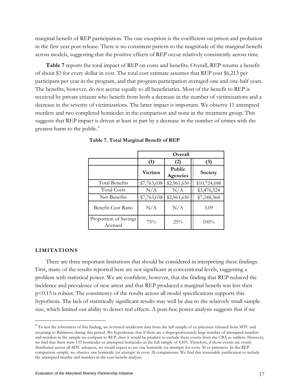<span id="page-21-0"></span>marginal benefit of REP participation. The one exception is the coefficient on prison and probation in the first year post-release. There is no consistent pattern to the magnitude of the marginal benefit across models, suggesting that the positive effects of REP occur relatively consistently across time.

**Table 7** reports the total impact of REP on costs and benefits. Overall, REP returns a benefit of about \$3 for every dollar in cost. The total cost estimate assumes that REP cost \$6,213 per participant per year in the program, and that program participation averaged one and one-half years. The benefits, however, do not accrue equally to all beneficiaries. Most of the benefit to REP is received by private citizens who benefit from both a decrease in the number of victimizations and a decrease in the severity of victimizations. The latter impact is important. We observe 11 attempted murders and two completed homicides in the comparison and none in the treatment group. This suggests that REP impact is driven at least in part by a decrease in the number of crimes with the greatest harm to the public. $^6$ 

|                                  | Overall        |                                  |              |  |
|----------------------------------|----------------|----------------------------------|--------------|--|
|                                  | (1)            | (2)                              | (3)          |  |
|                                  | <b>Victims</b> | <b>Public</b><br><b>Agencies</b> | Society      |  |
| Total Benefits                   | \$7,763,038    | \$2,961,650                      | \$10,724,688 |  |
| <b>Total Costs</b>               | N/A            | N/A                              | \$3,476,324  |  |
| Net-Benefits                     | \$7,763,038    | \$2,961,650                      | \$7,248,364  |  |
| Benefit-Cost Ratio               | N/A            | N/A                              | 3.09         |  |
| Proportion of Savings<br>Accrued | 75%            | 25%                              | $100\%$      |  |

|  |  | Table 7. Total Marginal Benefit of REP |  |  |
|--|--|----------------------------------------|--|--|
|--|--|----------------------------------------|--|--|

# **LIMITATIONS**

 $\overline{a}$ 

There are three important limitations that should be considered in interpreting these findings. First , many of the results reported here are not significant at conventional levels, suggesting a hypothesis. The lack of statistically significant results may well be due to the relatively small sample problem with statistical power. We are confident, however, that the finding that REP reduced the incidence and prevalence of new arrest and that REP produced a marginal benefit was less then p<0.15 is robust. The consistency of the results across all model specifications supports this size, which limited our ability to detect real effects. A post-hoc power analysis suggests that if we

<sup>&</sup>lt;sup>6</sup> To test the robustness of this finding, we reviewed recidivism data from the full sample of ex-prisoners released from MTC and returning to Baltimore during this period. We hypothesize that if there are a disproportionately large number of attempted murders and murders in the sample we compare to REP, then it would be prudent to exclude these events from the CBA as outliers. However, we find that there were 135 homicides or attempted homicides in the full sample of 4,105. Therefore, if those events are evenly distributed across all MTC releasees, we would expect to see one homicide (or attempt) for every 30 ex-prisoners. In the REP comparison sample, we observe one homicide (or attempt) in every 28 comparisons. We find this reasonable justification to include the attempted murder and murders in the cost-benefit analysis.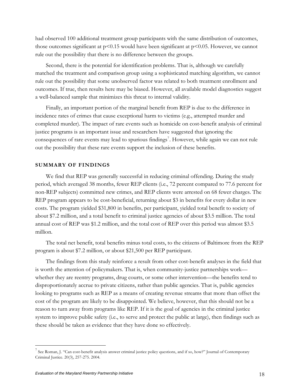<span id="page-22-0"></span>had observed 100 additional treatment group participants with the same distribution of outcomes, those outcomes significant at  $p<0.15$  would have been significant at  $p<0.05$ . However, we cannot rule out the possibility that there is no difference between the groups.

Second, there is the potential for identification problems. That is, although we carefully matched the treatment and comparison group using a sophisticated matching algorithm, we cannot outcomes. If true, then results here may be biased. However, all available model diagnostics suggest rule out the possibility that some unobserved factor was related to both treatment enrollment and a well-balanced sample that minimizes this threat to internal validity.

Finally, an important portion of the marginal benefit from REP is due to the difference in incid ence rates of crimes that cause exceptional harm to victims (e.g., attempted murder and completed murder). The impact of rare events such as homicide on cost-benefit analysis of criminal consequences of rare events may lead to spurious findings<sup>[7](#page-22-0)</sup>. However, while again we can not rule justice programs is an important issue and researchers have suggested that ignoring the out the possibility that these rare events support the inclusion of these benefits.

# **SUMMARY OF FINDINGS**

We find that REP was generally successful in reducing criminal offending. During the study period, which averaged 38 months, fewer REP clients (i.e., 72 percent compared to 77.6 percent for non-REP subjects) committed new crimes, and REP clients were arrested on 68 fewer charges. The REP program appears to be cost-beneficial, returning about \$3 in benefits for every dollar in new costs. The program yielded \$31,800 in benefits, per participant, yielded total benefit to society of about \$7.2 million, and a total benefit to criminal justice agencies of about \$3.5 million. The total annual cost of REP was \$1.2 million, and the total cost of REP over this period was almost \$3.5 million.

The total net benefit, total benefits minus total costs, to the citizens of Baltimore from the REP prog ram is about \$7.2 million, or about \$21,500 per REP participant.

The findings from this study reinforce a result from other cost-benefit analyses in the field that is w orth the attention of policymakers. That is, when community-justice partnerships work whether they are reentry programs, drug courts, or some other intervention—the benefits tend to looking to programs such as REP as a means of creating revenue streams that more than offset the system to improve public safety (i.e., to serve and protect the public at large), then findings such as disproportionately accrue to private citizens, rather than public agencies. That is, public agencies cost of the program are likely to be disappointed. We believe, however, that this should not be a reason to turn away from programs like REP. If it is the goal of agencies in the criminal justice these should be taken as evidence that they have done so effectively.

<sup>&</sup>lt;sup>7</sup> See Roman, J. "Can cost-benefit analysis answer criminal justice policy questions, and if so, how?" Journal of Contemporary Criminal Justice. 20(3), 257-275. 2004.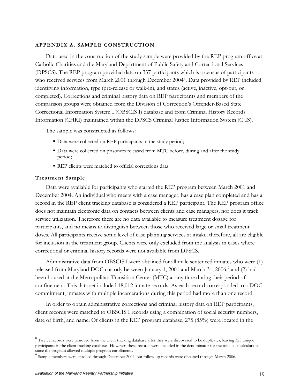### <span id="page-23-0"></span>**APPENDIX A. SAMPLE CONSTRUCTION**

Data used in the construction of the study sample were provided by the REP program office at Catholic Charities and the Maryland Department of Public Safety and Correctional Services (DPSCS). The REP program provided data on 337 participants which is a census of participants who received services from March 2001 through December 2004<sup>[8](#page-23-0)</sup>. Data provided by REP included identifying information, type (pre-release or walk-in), and status (active, inactive, opt-out, or completed). Corrections and criminal history data on REP participants and members of the comparison groups were obtained from the Division of Correction's Offender-Based State Correctional Information System I (OBSCIS I) database and from Criminal History Records Information (CHRI) maintained within the DPSCS Criminal Justice Information System (CJIS).

The sample was constructed as follows:

- Data were collected on REP participants in the study period;
- Data were collected on prisoners released from MTC before, during and after the study period;
- REP clients were matched to official corrections data.

#### **Treatment Sample**

 $\overline{a}$ 

Data were available for participants who started the REP program between March 2001 and December 2004. An individual who meets with a case manager, has a case plan completed and has a record in the REP client tracking database is considered a REP participant. The REP program office does not maintain electronic data on contacts between clients and case managers, nor does it track service utilization. Therefore there are no data available to measure treatment dosage for participants, and no means to distinguish between those who received large or small treatment doses. All participants receive some level of case planning services at intake; therefore, all are eligible for inclusion in the treatment group. Clients were only excluded from the analysis in cases where correctional or criminal history records were not available from DPSCS.

Administrative data from OBSCIS I were obtained for all male sentenced inmates who were (1) released from Maryland DOC custody between January 1, 2001 and March 31, 2006;<sup>[9](#page-23-0)</sup> and (2) had been housed at the Metropolitan Transition Center (MTC) at any time during their period of confinement. This data set included 18,012 inmate records. As each record corresponded to a DOC commitment, inmates with multiple incarcerations during this period had more than one record.

In order to obtain administrative corrections and criminal history data on REP participants, client records were matched to OBSCIS I records using a combination of social security numbers, date of birth, and name. Of clients in the REP program database, 275 (85%) were located in the

 $8$  Twelve records were removed from the client tracking database after they were discovered to be duplicates, leaving 325 unique participants in the client tracking database. However, these records were included in the denominator for the total cost calculations since the program allowed multiple program enrollments.

 $9^9$  Sample members were enrolled through December 2004, but follow-up records were obtained through March 2006.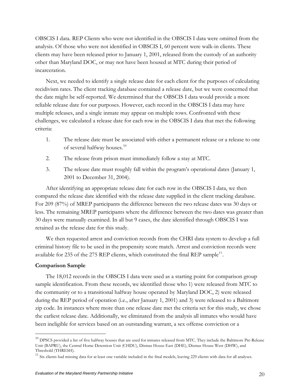<span id="page-24-0"></span>OBSCIS I data. REP Clients who were not identified in the OBSCIS I data were omitted from the analysis. Of those who were not identified in OBSCIS I, 60 percent were walk-in clients. These clients may have been released prior to January 1, 2001, released from the custody of an authority other than Maryland DOC, or may not have been housed at MTC during their period of incarceration.

Next, we needed to identify a single release date for each client for the purposes of calculating recidivism rates. The client tracking database contained a release date, but we were concerned that the date might be self-reported. We determined that the OBSCIS I data would provide a more reliable release date for our purposes. However, each record in the OBSCIS I data may have multiple releases, and a single inmate may appear on multiple rows. Confronted with these challenges, we calculated a release date for each row in the OBSCIS I data that met the following criteria:

- 1. The release date must be associated with either a permanent release or a release to one of several halfway houses.<sup>[10](#page-24-0)</sup>
- 2. The release from prison must immediately follow a stay at MTC.
- 3. The release date must roughly fall within the program's operational dates (January 1, 2001 to December 31, 2004).

After identifying an appropriate release date for each row in the OBSCIS I data, we then compared the release date identified with the release date supplied in the client tracking database. For 209 (87%) of MREP participants the difference between the two release dates was 30 days or less. The remaining MREP participants where the difference between the two dates was greater than 30 days were manually examined. In all but 9 cases, the date identified through OBSCIS I was retained as the release date for this study.

We then requested arrest and conviction records from the CHRI data system to develop a full criminal history file to be used in the propensity score match. Arrest and conviction records were available for 235 of the 275 REP clients, which constituted the final REP sample $^{11}$  $^{11}$  $^{11}$ .

# **Comparison Sample**

 $\overline{a}$ 

The 18,012 records in the OBSCIS I data were used as a starting point for comparison group sample identification. From these records, we identified those who 1) were released from MTC to the community or to a transitional halfway house operated by Maryland DOC, 2) were released during the REP period of operation (i.e., after January 1, 2001) and 3) were released to a Baltimore zip code. In instances where more than one release date met the criteria set for this study, we chose the earliest release date. Additionally, we eliminated from the analysis all inmates who would have been ineligible for services based on an outstanding warrant, a sex offense conviction or a

 $^{10}$  DPSCS provided a list of five halfway houses that are used for inmates released from MTC. They include the Baltimore Pre-Release Unit (BAPRU), the Central Home Detention Unit (CHDU), Dismas House East (DHE), Dismas House West (DHW), and Threshold (THRESH).

 $11$  Six clients had missing data for at least one variable included in the final models, leaving 229 clients with data for all analyses.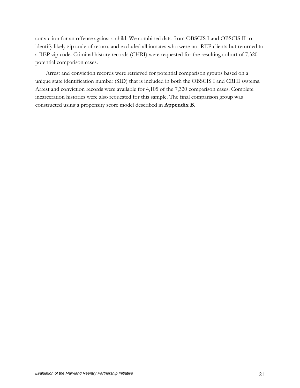conviction for an offense against a child. We combined data from OBSCIS I and OBSCIS II to identify likely zip code of return, and excluded all inmates who were not REP clients but returned to a REP zip code. Criminal history records (CHRI) were requested for the resulting cohort of 7,320 potential comparison cases.

Arrest and conviction records were retrieved for potential comparison groups based on a unique state identification number (SID) that is included in both the OBSCIS I and CRHI systems. Arrest and conviction records were available for 4,105 of the 7,320 comparison cases. Complete incarceration histories were also requested for this sample. The final comparison group was constructed using a propensity score model described in **Appendix B**.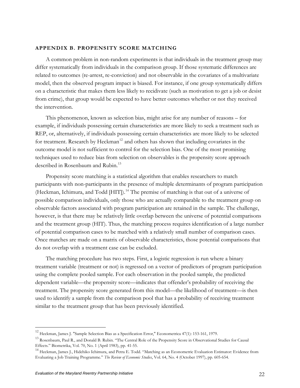### <span id="page-26-0"></span>**APPENDIX B. PROPENSITY SCORE MATCHING**

A common problem in non-random experiments is that individuals in the treatment group may differ systematically from individuals in the comparison group. If those systematic differences are related to outcomes (re-arrest, re-conviction) and not observable in the covariates of a multivariate model, then the observed program impact is biased. For instance, if one group systematically differs on a characteristic that makes them less likely to recidivate (such as motivation to get a job or desist from crime), that group would be expected to have better outcomes whether or not they received the intervention.

This phenomenon, known as selection bias, might arise for any number of reasons – for example, if individuals possessing certain characteristics are more likely to seek a treatment such as REP, or, alternatively, if individuals possessing certain characteristics are more likely to be selected for treatment. Research by Heckman<sup>12</sup> and others has shown that including covariates in the outcome model is not sufficient to control for the selection bias. One of the most promising techniques used to reduce bias from selection on observables is the propensity score approach described in Rosenbaum and Rubin.<sup>[13](#page-26-0)</sup>

Propensity score matching is a statistical algorithm that enables researchers to match participants with non-participants in the presence of multiple determinants of program participation (Heckman, Ichimura, and Todd [HIT]).<sup>[14](#page-26-0)</sup> The premise of matching is that out of a universe of possible comparison individuals, only those who are actually comparable to the treatment group on observable factors associated with program participation are retained in the sample. The challenge, however, is that there may be relatively little overlap between the universe of potential comparisons and the treatment group (HIT). Thus, the matching process requires identification of a large number of potential comparison cases to be matched with a relatively small number of comparison cases. Once matches are made on a matrix of observable characteristics, those potential comparisons that do not overlap with a treatment case can be excluded.

The matching procedure has two steps. First, a logistic regression is run where a binary treatment variable (treatment or not) is regressed on a vector of predictors of program participation using the complete pooled sample. For each observation in the pooled sample, the predicted dependent variable—the propensity score—indicates that offender's probability of receiving the treatment. The propensity score generated from this model—the likelihood of treatment—is then used to identify a sample from the comparison pool that has a probability of receiving treatment similar to the treatment group that has been previously identified.

<sup>12</sup> Heckman, James J. "Sample Selection Bias as a Specification Error," Econometrica 47(1): 153-161, 1979.

<sup>13</sup> Rosenbaum, Paul R., and Donald B. Rubin. "The Central Role of the Propensity Score in Observational Studies for Causal Effects." Biometrika, Vol. 70, No. 1 (April 1983), pp. 41-55.

<sup>14</sup> Heckman, James J., Hidehiko Ichimura, and Petra E. Todd. "Matching as an Econometric Evaluation Estimator: Evidence from Evaluating a Job Training Programme." *The Review of Economic Studies*, Vol. 64, No. 4 (October 1997), pp. 605-654.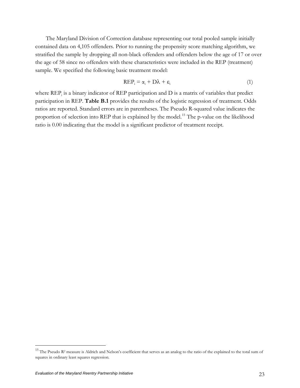<span id="page-27-0"></span>The Maryland Division of Correction database representing our total pooled sample initially contained data on 4,105 offenders. Prior to running the propensity score matching algorithm, we stratified the sample by dropping all non-black offenders and offenders below the age of 17 or over the age of 58 since no offenders with these characteristics were included in the REP (treatment) sample. We specified the following basic treatment model:

$$
REP_i = \alpha_i + D\lambda + \varepsilon_i \tag{1}
$$

where  $\text{REP}_{i}$  is a binary indicator of  $\text{REP}$  participation and  $D$  is a matrix of variables that predict participation in REP. **Table B.1** provides the results of the logistic regression of treatment. Odds ratios are reported. Standard errors are in parentheses. The Pseudo R-squared value indicates the proportion of selection into REP that is explained by the model.<sup>[15](#page-27-0)</sup> The p-value on the likelihood ratio is 0.00 indicating that the model is a significant predictor of treatment receipt.

 $15$  The Pseudo R<sup>2</sup> measure is Aldrich and Nelson's coefficient that serves as an analog to the ratio of the explained to the total sum of squares in ordinary least squares regression.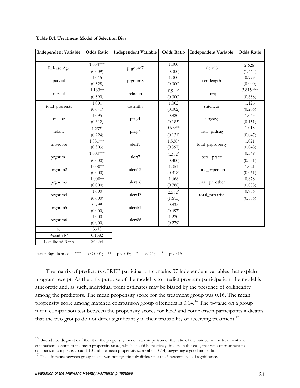| <b>Independent Variable</b> | <b>Odds Ratio</b>             | <b>Independent Variable</b> | <b>Odds Ratio</b>      | <b>Independent Variable</b> | <b>Odds Ratio</b>      |
|-----------------------------|-------------------------------|-----------------------------|------------------------|-----------------------------|------------------------|
| Release Age                 | $1.034***$<br>(0.009)         | prgnum7                     | 1.000<br>(0.000)       | alert96                     | $2.626^{a}$<br>(1.664) |
| parviol                     | 1.015<br>(0.328)              | prgnum8                     | 1.000<br>(0.000)       | sentlength                  | 0.999<br>(0.000)       |
| mrviol                      | $1.163**$<br>(0.390)          | religion                    | $0.999^{a}$<br>(0.000) | simzip                      | 3.815***<br>(0.638)    |
| total_prarrests             | 1.001<br>(0.041)              | totsmths                    | 1.002<br>(0.002)       | sntcncur                    | 1.126<br>(0.206)       |
| escape                      | 1.095<br>(0.612)              | prog1                       | 0.820<br>(0.183)       | npgseg                      | 1.043<br>(0.151)       |
| felony                      | $1.297^{\text{a}}$<br>(0.224) | prog4                       | $0.678**$<br>(0.131)   | total_prdrug                | 1.015<br>(0.047)       |
| finsecpre                   | $1.881***$<br>(0.303)         | alert1                      | $1.538*$<br>(0.397)    | total_prproperty            | 1.021<br>(0.048)       |
| prgnum1                     | $1.000***$<br>(0.000)         | alert7                      | $1.382^{a}$<br>(0.300) | total_prsex                 | 0.549<br>(0.331)       |
| prgnum2                     | $1.000**$<br>(0.000)          | alert13                     | 1.051<br>(0.318)       | total_prperson              | 1.021<br>(0.061)       |
| prgnum3                     | $1.000**$<br>(0.000)          | alert16                     | 1.668<br>(0.788)       | total_pr_other              | 0.878<br>(0.088)       |
| prgnum4                     | 1.000<br>(0.000)              | alert43                     | $2.562^{a}$<br>(1.615) | total_prtraffic             | 0.986<br>(0.586)       |
| prgnum5                     | 0.999<br>(0.000)              | alert51                     | 0.835<br>(0.697)       |                             |                        |
| prgnum6                     | 1.000<br>(0.000)              | alert86                     | 1.220<br>(0.279)       |                             |                        |
| $\mathbf N$<br>Pseudo $R^2$ | 3318<br>0.1582<br>263.54      |                             |                        |                             |                        |
| Likelihood Ratio            |                               |                             |                        |                             |                        |

<span id="page-28-0"></span>**Table B.1. Treatment Model of Selection Bias**

Note: Significance: \*\*\* = p < 0.01; \*\* = p < 0.05; \* = p < 0.1;  $a = p$  < 0.15

The matrix of predictors of REP participation contains 37 independent variables that explain program receipt. As the only purpose of the model is to predict program participation, the model is atheoretic and, as such, individual point estimates may be biased by the presence of collinearity among the predictors. The mean propensity score for the treatment group was 0.16. The mean propensity score among matched comparison group offenders is  $0.14<sup>16</sup>$  $0.14<sup>16</sup>$  $0.14<sup>16</sup>$  The p-value on a group mean comparison test between the propensity scores for REP and comparison participants indicates that the two groups do not differ significantly in their probability of receiving treatment.<sup>[17](#page-28-0)</sup>

 $16$  One ad hoc diagnostic of the fit of the propensity model is a comparison of the ratio of the number in the treatment and comparison cohorts to the mean propensity score, which should be relatively similar. In this case, that ratio of treatment to comparison samples is about 1:10 and the mean propensity score about 0.14, suggesting a good model fit.

<sup>&</sup>lt;sup>17</sup> The difference between group means was not significantly different at the 5 percent level of significance.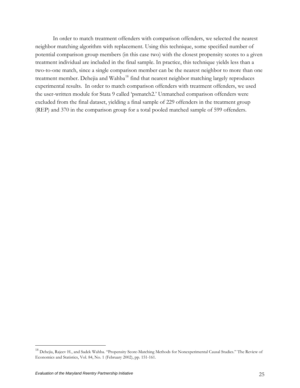<span id="page-29-0"></span>In order to match treatment offenders with comparison offenders, we selected the nearest neighbor matching algorithm with replacement. Using this technique, some specified number of potential comparison group members (in this case two) with the closest propensity scores to a given treatment individual are included in the final sample. In practice, this technique yields less than a two-to-one match, since a single comparison member can be the nearest neighbor to more than one treatment member. Dehejia and Wahba<sup>18</sup> find that nearest neighbor matching largely reproduces experimental results. In order to match comparison offenders with treatment offenders, we used the user-written module for Stata 9 called 'psmatch2.' Unmatched comparison offenders were excluded from the final dataset, yielding a final sample of 229 offenders in the treatment group (REP) and 370 in the comparison group for a total pooled matched sample of 599 offenders.

<sup>&</sup>lt;sup>18</sup> Dehejia, Rajeev H., and Sadek Wahba. "Propensity Score-Matching Methods for Nonexperimental Causal Studies." The Review of Economics and Statistics, Vol. 84, No. 1 (February 2002), pp. 151-161.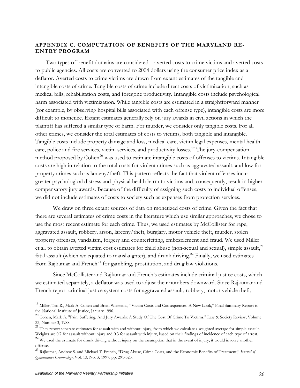# <span id="page-30-0"></span>**APPENDIX C. COMPUTATION OF BENEFITS OF THE MARYLAND RE-ENTRY PROGRAM**

Two types of benefit domains are considered—averted costs to crime victims and averted costs to public agencies. All costs are converted to 2004 dollars using the consumer price index as a deflator. Averted costs to crime victims are drawn from extant estimates of the tangible and intangible costs of crime. Tangible costs of crime include direct costs of victimization, such as medical bills, rehabilitation costs, and foregone productivity. Intangible costs include psychological harm associated with victimization. While tangible costs are estimated in a straightforward manner (for example, by observing hospital bills associated with each offense type), intangible costs are more difficult to monetize. Extant estimates generally rely on jury awards in civil actions in which the plaintiff has suffered a similar type of harm. For murder, we consider only tangible costs. For all other crimes, we consider the total estimates of costs to victims, both tangible and intangible. Tangible costs include property damage and loss, medical care, victim legal expenses, mental health care, police and fire services, victim services, and productivity losses.<sup>[19](#page-30-0)</sup> The jury-compensation method proposed by Cohen<sup>[20](#page-30-0)</sup> was used to estimate intangible costs of offenses to victims. Intangible costs are high in relation to the total costs for violent crimes such as aggravated assault, and low for property crimes such as larceny/theft. This pattern reflects the fact that violent offenses incur greater psychological distress and physical health harm to victims and, consequently, result in higher compensatory jury awards. Because of the difficulty of assigning such costs to individual offenses, we did not include estimates of costs to society such as expenses from protection services.

We draw on three extant sources of data on monetized costs of crime. Given the fact that there are several estimates of crime costs in the literature which use similar approaches, we chose to use the most recent estimate for each crime. Thus, we used estimates by McCollister for rape, aggravated assault, robbery, arson, larceny/theft, burglary, motor vehicle theft, murder, stolen property offenses, vandalism, forgery and counterfeiting, embezzlement and fraud. We used Miller et al. to obtain averted victim cost estimates for child abuse (non-sexual and sexual), simple assault,<sup>[21](#page-30-0)</sup> fatal assault (which we equated to manslaughter), and drunk driving.**[22](#page-30-0)** Finally, we used estimates from Rajkumar and French<sup>[23](#page-30-0)</sup> for gambling, prostitution, and drug law violations.

Since McCollister and Rajkumar and French's estimates include criminal justice costs, which we estimated separately, a deflator was used to adjust their numbers downward. Since Rajkumar and French report criminal justice system costs for aggravated assault, robbery, motor vehicle theft,

<sup>&</sup>lt;sup>19</sup> Miller. Ted R., Mark A. Cohen and Brian Wiersema, "Victim Costs and Consequences: A New Look," Final Summary Report to the National Institute of Justice, January 1996.

<sup>&</sup>lt;sup>20</sup> Cohen, Mark A. "Pain, Suffering, And Jury Awards: A Study Of The Cost Of Crime To Victims," Law & Society Review, Volume 22, Number 3, 1988.

 $21$  They report separate estimates for assault with and without injury, from which we calculate a weighted average for simple assault. Weights are 0.7 for assault without injury and 0.3 for assault with injury, based on their findings of incidence of each type of arrest.

<sup>&</sup>lt;sup>22</sup> We used the estimate for drunk driving without injury on the assumption that in the event of injury, it would involve another offense.

<sup>23</sup> Rajkumar, Andrew S. and Michael T. French, "Drug Abuse, Crime Costs, and the Economic Benefits of Treatment," *Journal of Quantitative Criminology*, Vol. 13, No. 3, 1997, pp. 291-323.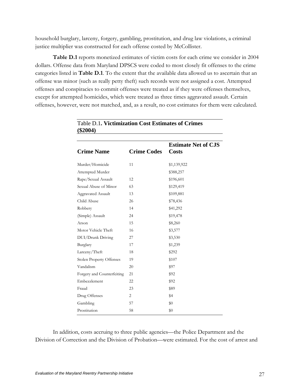household burglary, larceny, forgery, gambling, prostitution, and drug law violations, a criminal justice multiplier was constructed for each offense costed by McCollister.

**Table D.1** reports monetized estimates of victim costs for each crime we consider in 2004 dollars. Offense data from Maryland DPSCS were coded to most closely fit offenses to the crime categories listed in **Table D.1**. To the extent that the available data allowed us to ascertain that an offense was minor (such as really petty theft) such records were not assigned a cost. Attempted offenses and conspiracies to commit offenses were treated as if they were offenses themselves, except for attempted homicides, which were treated as three times aggravated assault. Certain offenses, however, were not matched, and, as a result, no cost estimates for them were calculated.

| $(\$2004)$                      |                    |                                            |
|---------------------------------|--------------------|--------------------------------------------|
| <b>Crime Name</b>               | <b>Crime Codes</b> | <b>Estimate Net of CJS</b><br><b>Costs</b> |
| Murder/Homicide                 | 11                 | \$1,139,922                                |
| Attempted Murder                |                    | \$388,257                                  |
| Rape/Sexual Assault             | 12                 | \$196,601                                  |
| Sexual Abuse of Minor           | 63                 | \$129,419                                  |
| <b>Aggravated Assault</b>       | 13                 | \$109,881                                  |
| Child Abuse                     | 26                 | \$78,436                                   |
| Robbery                         | 14                 | \$41,292                                   |
| (Simple) Assault                | 24                 | \$19,478                                   |
| Arson                           | 15                 | \$8,260                                    |
| Motor Vehicle Theft             | 16                 | \$3,577                                    |
| DUI/Drunk Driving               | 27                 | \$3,530                                    |
| Burglary                        | 17                 | \$1,239                                    |
| Larceny/Theft                   | 18                 | \$292                                      |
| <b>Stolen Property Offenses</b> | 19                 | \$107                                      |
| Vandalism                       | 20                 | \$97                                       |
| Forgery and Counterfeiting      | 21                 | \$92                                       |
| Embezzlement                    | 22                 | \$92                                       |
| Fraud                           | 23                 | \$89                                       |
| Drug Offenses                   | 2                  | \$4                                        |
| Gambling                        | 57                 | $\$0$                                      |
| Prostitution                    | 58                 | \$0                                        |

Table D.1**. Victimization Cost Estimates of Crimes** 

In addition, costs accruing to three public agencies—the Police Department and the Division of Correction and the Division of Probation—were estimated. For the cost of arrest and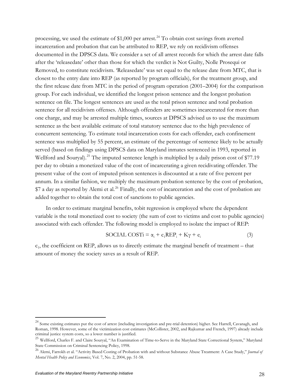<span id="page-32-0"></span>processing, we used the estimate of  $$1,000$  per arrest.<sup>[24](#page-32-0)</sup> To obtain cost savings from averted incarceration and probation that can be attributed to REP, we rely on recidivism offenses documented in the DPSCS data. We consider a set of all arrest records for which the arrest date falls after the 'releasedate' other than those for which the verdict is Not Guilty, Nolle Prosequi or Removed, to constitute recidivism. 'Releasedate' was set equal to the release date from MTC, that is closest to the entry date into REP (as reported by program officials), for the treatment group, and the first release date from MTC in the period of program operation (2001–2004) for the comparison group. For each individual, we identified the longest prison sentence and the longest probation sentence on file. The longest sentences are used as the total prison sentence and total probation sentence for all recidivism offenses. Although offenders are sometimes incarcerated for more than one charge, and may be arrested multiple times, sources at DPSCS advised us to use the maximum sentence as the best available estimate of total statutory sentence due to the high prevalence of concurrent sentencing. To estimate total incarceration costs for each offender, each confinement sentence was multiplied by 55 percent, an estimate of the percentage of sentence likely to be actually served (based on findings using DPSCS data on Maryland inmates sentenced in 1993, reported in Wellford and Souryal).<sup>[25](#page-32-0)</sup> The imputed sentence length is multiplied by a daily prison cost of \$77.19 per day to obtain a monetized value of the cost of incarcerating a given recidivating offender. The present value of the cost of imputed prison sentences is discounted at a rate of five percent per annum. In a similar fashion, we multiply the maximum probation sentence by the cost of probation, \$7 a day as reported by Alemi et al.<sup>[26](#page-32-0)</sup> Finally, the cost of incarceration and the cost of probation are added together to obtain the total cost of sanctions to public agencies.

In order to estimate marginal benefits, tobit regression is employed where the dependent variable is the total monetized cost to society (the sum of cost to victims and cost to public agencies) associated with each offender. The following model is employed to isolate the impact of REP:

$$
SOCIAL COSTi = \alpha_i + c_1 REP_i + K\gamma + e_i \tag{3}
$$

 $c_1$ , the coefficient on REP, allows us to directly estimate the marginal benefit of treatment – that amount of money the society saves as a result of REP.

<sup>&</sup>lt;sup>24</sup> Some existing estimates put the cost of arrest (including investigation and pre-trial detention) higher. See Harrell, Cavanagh, and Roman, 1998. However, some of the victimization cost estimates (McCollister, 2002, and Rajkumar and French, 1997) already include criminal justice system costs, so a lower number is justified.

<sup>&</sup>lt;sup>25</sup> Wellford, Charles F. and Claire Souryal, "An Examination of Time-to-Serve in the Maryland State Correctional System," Maryland State Commission on Criminal Sentencing Policy, 1998.

<sup>26</sup> Alemi, Farrokh et al. "Activity Based Costing of Probation with and without Substance Abuse Treatment: A Case Study," *Journal of Mental Health Policy and Economics*, Vol. 7, No. 2, 2004, pp. 51-58.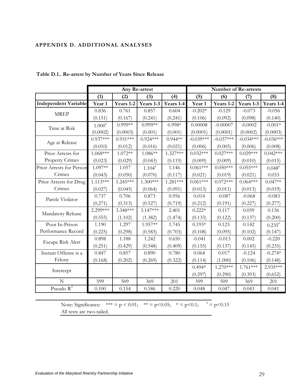# <span id="page-33-0"></span>**APPENDIX D. ADDITIONAL ANALYSES**

|                             |            | Any Re-arrest |             |            | <b>Number of Re-arrests</b> |             |             |             |  |
|-----------------------------|------------|---------------|-------------|------------|-----------------------------|-------------|-------------|-------------|--|
|                             | (1)<br>(2) |               | (3)         | (4)        | (5)                         | (6)         | (7)         | (8)         |  |
| <b>Independent Variable</b> | Year 1     | Years 1-2     | Years 1-3   | Years 1-4  | Year 1                      | Years 1-2   | Years 1-3   | Years 1-4   |  |
| <b>MREP</b>                 | 0.836      | 0.761         | 0.857       | 0.604      | $-0.202*$                   | $-0.129$    | $-0.073$    | $-0.056$    |  |
|                             | (0.151)    | (0.167)       | (0.241)     | (0.241)    | (0.106)                     | (0.092)     | (0.098)     | (0.140)     |  |
| Time at Risk                | $1.000^a$  | $0.999**$     | $0.999**$   | $0.998*$   | 0.00008                     | $-0.00007$  | $-0.0002$   | $-0.001*$   |  |
|                             | (0.0002)   | (0.0003)      | (0.001)     | (0.001)    | (0.0001)                    | (0.0001)    | (0.0002)    | (0.0003)    |  |
| Age at Release              | $0.937***$ | $0.931***$    | $0.924***$  | $0.944**$  | $-0.039***$                 | $-0.037***$ | $-0.034***$ | $-0.036***$ |  |
|                             | (0.010)    | (0.012)       | (0.016)     | (0.021)    | (0.006)                     | (0.005)     | (0.006)     | (0.008)     |  |
| Prior Arrests for           | 1.068***   | $1.072**$     | 1.086**     | $1.327***$ | $0.032***$                  | $0.027***$  | $0.029***$  | $0.042***$  |  |
| <b>Property Crimes</b>      | (0.023)    | (0.029)       | (0.043)     | (0.119)    | (0.009)                     | (0.009)     | (0.010)     | (0.015)     |  |
| Prior Arrests for Person    | 1.097**    | 1.057         | $1.104^{a}$ | 1.146      | $0.061***$                  | $0.050***$  | $0.055***$  | $0.048^{a}$ |  |
| Crimes                      | (0.043)    | (0.050)       | (0.070)     | (0.117)    | (0.021)                     | (0.019)     | (0.021)     | 0.033       |  |
| Prior Arrests for Drug      | $1.113***$ | 1.245***      | $1.300***$  | $1.281***$ | $0.061***$                  | $0.072***$  | $0.064***$  | $0.047**$   |  |
| Crimes                      | (0.027)    | (0.045)       | (0.064)     | (0.091)    | (0.013)                     | (0.011)     | (0.013)     | (0.019)     |  |
| Parole Violator             | 0.737      | 0.706         | 0.873       | 0.956      | 0.014                       | $-0.087$    | $-0.068$    | $-0.083$    |  |
|                             | (0.271)    | (0.313)       | (0.527)     | (0.719)    | (0.212)                     | (0.191)     | (0.227)     | (0.277)     |  |
| Mandatory Release           | 2.299***   | 3.348***      | $3.147***$  | 2.401      | $0.222*$                    | 0.117       | 0.059       | 0.136       |  |
|                             | (0.555)    | (1.102)       | (1.382)     | (1.474)    | (0.133)                     | (0.122)     | (0.137)     | (0.200)     |  |
| Poor In-Prison              | 1.190      | 1.297         | $1.957**$   | 1.745      | $0.193*$                    | 0.123       | 0.142       | $0.235^a$   |  |
| Performance Record          | (0.225)    | (0.298)       | (0.583)     | (0.703)    | (0.108)                     | (0.095)     | (0.102)     | (0.147)     |  |
| Escape Risk Alert           | 0.898      | 1.188         | 1.242       | 0.650      | $-0.041$                    | $-0.013$    | 0.002       | $-0.220$    |  |
|                             | (0.251)    | (0.429)       | (0.548)     | (0.409)    | (0.155)                     | (0.137)     | (0.145)     | (0.235)     |  |
| Instant Offense is a        | 0.847      | 0.857         | 0.890       | 0.780      | 0.064                       | 0.017       | $-0.124$    | $-0.274*$   |  |
| Felony                      | (0.168)    | (0.202)       | (0.269)     | (0.322)    | (0.114)                     | (1.000)     | (0.106)     | (0.148)     |  |
| Intercept                   |            |               |             |            | $0.494*$                    | $1.270***$  | $1.761***$  | 2.935***    |  |
|                             |            |               |             |            | (0.297)                     | (0.290)     | (0.393)     | (0.652)     |  |
| $\overline{N}$              | 599        | 509           | 369         | 201        | 599                         | 509         | 369         | 201         |  |
| Pseudo $R^2$                | 0.100      | 0.154         | 0.186       | 0.220      | 0.048                       | 0.047       | 0.043       | 0.041       |  |

**Table D.1.. Re-arrest by Number of Years Since Release** 

Note: Significance:  $*** = p < 0.01$ ;  $** = p < 0.05$ ;  $* = p < 0.1$ ;  $a = p < 0.15$ All tests are two-tailed.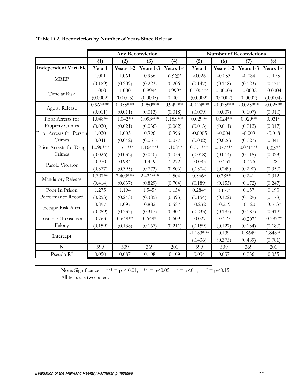|                             |                          |            | <b>Any Reconviction</b> |             | <b>Number of Reconvictions</b> |                 |                       |             |  |
|-----------------------------|--------------------------|------------|-------------------------|-------------|--------------------------------|-----------------|-----------------------|-------------|--|
|                             | (1)<br>(2)<br>(3)<br>(4) |            | (5)                     | (6)         | (7)                            | (8)             |                       |             |  |
| <b>Independent Variable</b> | Year 1                   | Years 1-2  | Years 1-3               | Years 1-4   | Year 1                         | Years 1-2       | Years 1-3             | Years 1-4   |  |
| <b>MREP</b>                 | 1.001                    | 1.061      | 0.936                   | $0.620^{a}$ | $-0.026$                       | $-0.053$        | $-0.084$              | $-0.175$    |  |
|                             | (0.189)                  | (0.209)    | (0.223)                 | (0.206)     | (0.147)                        | (0.118)         | (0.123)               | (0.171)     |  |
| Time at Risk                | 1.000                    | 1.000      | $0.999*$                | $0.999*$    | $0.0004**$                     | 0.00003         | $-0.0002$             | $-0.0004$   |  |
|                             | (0.0002)                 | (0.0003)   | (0.0005)                | (0.001)     | (0.0002)                       | (0.0002)        | (0.0002)              | (0.0004)    |  |
| Age at Release              | $0.962***$               | $0.955***$ | $0.950***$              | $0.949***$  | $-0.024***$                    | $-0.025***$     | $-0.025***$           | $-0.025**$  |  |
|                             | (0.011)                  | (0.011)    | (0.013)                 | (0.018)     | (0.009)                        | (0.007)         | (0.007)               | (0.010)     |  |
| Prior Arrests for           | $1.048**$                | $1.042**$  | $1.093***$              | $1.153***$  | $0.029**$                      | $0.024**$       | $0.029**$             | $0.031*$    |  |
| <b>Property Crimes</b>      | (0.020)                  | (0.021)    | (0.036)                 | (0.062)     | (0.013)                        | (0.011)         | (0.012)               | (0.017)     |  |
| Prior Arrests for Person    | 1.020                    | 1.003      | 0.996                   | 0.996       | $-0.0005$                      | $-0.004$        | $-0.009$              | $-0.018$    |  |
| Crimes                      | 0.041                    | (0.042)    | (0.051)                 | (0.077)     | (0.032)                        | (0.026)         | (0.027)               | (0.041)     |  |
| Prior Arrests for Drug      | 1.096***                 | $1.161***$ | $1.164***$              | 1.108**     | $0.071***$                     | $0.077***$      | $0.071***$            | $0.037^{a}$ |  |
| Crimes                      | (0.026)                  | (0.032)    | (0.040)                 | (0.053)     | (0.018)                        | (0.014)         | (0.015)               | (0.023)     |  |
| Parole Violator             | 0.970                    | 0.984      | 1.449                   | 1.272       | $-0.083$                       | $-0.151$        | $-0.176$              | $-0.281$    |  |
|                             | (0.377)                  | (0.395)    | (0.773)                 | (0.806)     | (0.304)                        | (0.249)         | (0.290)               | (0.350)     |  |
| Mandatory Release           | 1.707**                  | $2.403***$ | $2.421***$              | 1.504       | $0.366*$                       | $0.285*$        | 0.241                 | 0.312       |  |
|                             | (0.414)                  | (0.637)    | (0.829)                 | (0.704)     | (0.189)                        | (0.155)         | (0.172)               | (0.247)     |  |
| Poor In Prison              | 1.275                    | 1.194      | $1.545*$                | 1.154       | $0.284*$                       | $0.177^{\rm a}$ | 0.157                 | 0.193       |  |
| Performance Record          | (0.253)                  | (0.243)    | (0.385)                 | (0.393)     | (0.154)                        | (0.122)         | (0.129)               | (0.178)     |  |
| Escape Risk Alert           | 0.897                    | 1.097      | 0.882                   | 0.587       | $-0.232$                       | $-0.219$        | $-0.120$              | $-0.513*$   |  |
|                             | (0.259)                  | (0.333)    | (0.317)                 | (0.307)     | (0.233)                        | (0.185)         | (0.187)               | (0.312)     |  |
| Instant Offense is a        | 0.763                    | $0.649**$  | $0.649*$                | 0.609       | $-0.027$                       | $-0.127$        | $-0.207$ <sup>a</sup> | $-0.397**$  |  |
| Felony                      | (0.159)                  | (0.138)    | (0.167)                 | (0.211)     | (0.159)                        | (0.127)         | (0.134)               | (0.180)     |  |
| Intercept                   |                          |            |                         |             | $-1.183***$                    | 0.139           | $0.864*$              | 1.848**     |  |
|                             |                          |            |                         |             | (0.436)                        | (0.375)         | (0.489)               | (0.781)     |  |
| N                           | 599                      | 509        | 369                     | 201         | 599                            | 509             | 369                   | 201         |  |
| Pseudo $R^2$                | 0.050                    | 0.087      | 0.108                   | 0.109       | 0.034                          | 0.037           | 0.036                 | 0.035       |  |

**Table D.2. Reconviction by Number of Years Since Release** 

Note: Significance:  $*** = p < 0.01$ ;  $** = p < 0.05$ ;  $* = p < 0.1$ ;  $a = p < 0.15$ All tests are two-tailed.